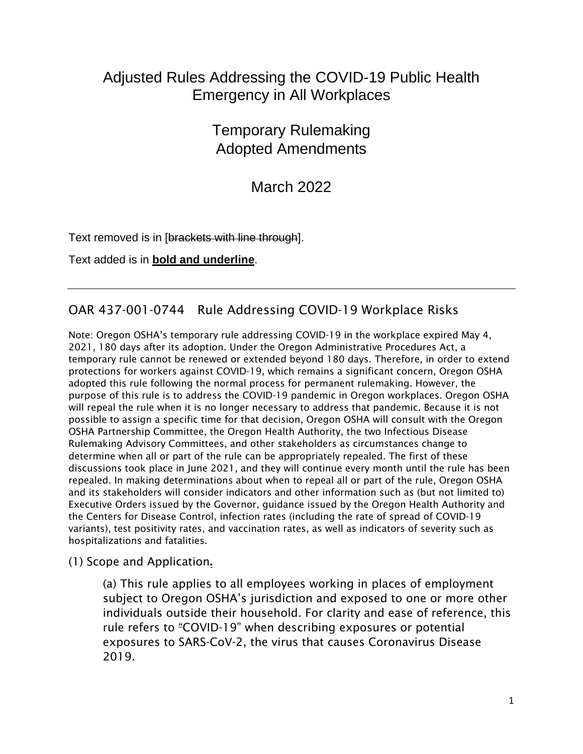# Adjusted Rules Addressing the COVID-19 Public Health Emergency in All Workplaces

# Temporary Rulemaking Adopted Amendments

March 2022

Text removed is in [brackets with line through].

Text added is in **bold and underline**.

## OAR 437-001-0744 Rule Addressing COVID-19 Workplace Risks

Note: Oregon OSHA's temporary rule addressing COVID-19 in the workplace expired May 4, 2021, 180 days after its adoption. Under the Oregon Administrative Procedures Act, a temporary rule cannot be renewed or extended beyond 180 days. Therefore, in order to extend protections for workers against COVID-19, which remains a significant concern, Oregon OSHA adopted this rule following the normal process for permanent rulemaking. However, the purpose of this rule is to address the COVID-19 pandemic in Oregon workplaces. Oregon OSHA will repeal the rule when it is no longer necessary to address that pandemic. Because it is not possible to assign a specific time for that decision, Oregon OSHA will consult with the Oregon OSHA Partnership Committee, the Oregon Health Authority, the two Infectious Disease Rulemaking Advisory Committees, and other stakeholders as circumstances change to determine when all or part of the rule can be appropriately repealed. The first of these discussions took place in June 2021, and they will continue every month until the rule has been repealed. In making determinations about when to repeal all or part of the rule, Oregon OSHA and its stakeholders will consider indicators and other information such as (but not limited to) Executive Orders issued by the Governor, guidance issued by the Oregon Health Authority and the Centers for Disease Control, infection rates (including the rate of spread of COVID-19 variants), test positivity rates, and vaccination rates, as well as indicators of severity such as hospitalizations and fatalities.

(1) Scope and Application.

(a) This rule applies to all employees working in places of employment subject to Oregon OSHA's jurisdiction and exposed to one or more other individuals outside their household. For clarity and ease of reference, this rule refers to "COVID-19" when describing exposures or potential exposures to SARS-CoV-2, the virus that causes Coronavirus Disease 2019.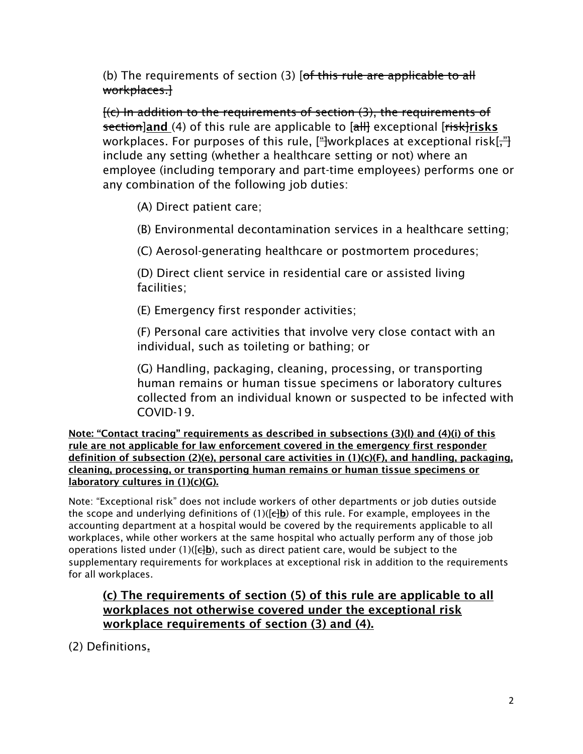(b) The requirements of section (3) [of this rule are applicable to all workplaces.]

[(c) In addition to the requirements of section (3), the requirements of section]and (4) of this rule are applicable to [all] exceptional [risk]risks workplaces. For purposes of this rule, [<del>"]</del>workplaces at exceptional risk[<del>,"]</del> include any setting (whether a healthcare setting or not) where an employee (including temporary and part-time employees) performs one or any combination of the following job duties:

(A) Direct patient care;

(B) Environmental decontamination services in a healthcare setting;

(C) Aerosol-generating healthcare or postmortem procedures;

(D) Direct client service in residential care or assisted living facilities;

(E) Emergency first responder activities;

(F) Personal care activities that involve very close contact with an individual, such as toileting or bathing; or

(G) Handling, packaging, cleaning, processing, or transporting human remains or human tissue specimens or laboratory cultures collected from an individual known or suspected to be infected with COVID-19.

Note: "Contact tracing" requirements as described in subsections (3)(l) and (4)(i) of this rule are not applicable for law enforcement covered in the emergency first responder definition of subsection (2)(e), personal care activities in (1)(c)(F), and handling, packaging, cleaning, processing, or transporting human remains or human tissue specimens or laboratory cultures in (1)(c)(G).

Note: "Exceptional risk" does not include workers of other departments or job duties outside the scope and underlying definitions of  $(1)(\left[\frac{1}{b}\right])$  of this rule. For example, employees in the accounting department at a hospital would be covered by the requirements applicable to all workplaces, while other workers at the same hospital who actually perform any of those job operations listed under (1)( $\frac{1}{b}$ ), such as direct patient care, would be subject to the supplementary requirements for workplaces at exceptional risk in addition to the requirements for all workplaces.

#### (c) The requirements of section (5) of this rule are applicable to all workplaces not otherwise covered under the exceptional risk workplace requirements of section (3) and (4).

(2) Definitions.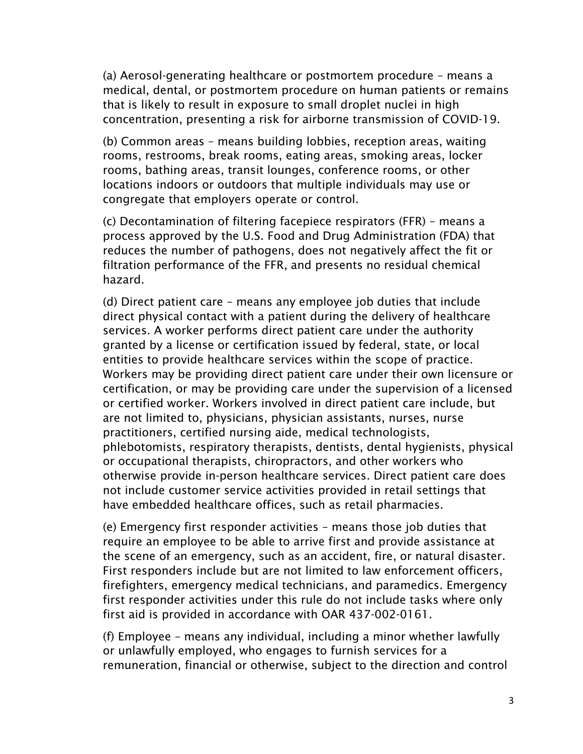(a) Aerosol-generating healthcare or postmortem procedure – means a medical, dental, or postmortem procedure on human patients or remains that is likely to result in exposure to small droplet nuclei in high concentration, presenting a risk for airborne transmission of COVID-19.

(b) Common areas – means building lobbies, reception areas, waiting rooms, restrooms, break rooms, eating areas, smoking areas, locker rooms, bathing areas, transit lounges, conference rooms, or other locations indoors or outdoors that multiple individuals may use or congregate that employers operate or control.

(c) Decontamination of filtering facepiece respirators (FFR) – means a process approved by the U.S. Food and Drug Administration (FDA) that reduces the number of pathogens, does not negatively affect the fit or filtration performance of the FFR, and presents no residual chemical hazard.

(d) Direct patient care – means any employee job duties that include direct physical contact with a patient during the delivery of healthcare services. A worker performs direct patient care under the authority granted by a license or certification issued by federal, state, or local entities to provide healthcare services within the scope of practice. Workers may be providing direct patient care under their own licensure or certification, or may be providing care under the supervision of a licensed or certified worker. Workers involved in direct patient care include, but are not limited to, physicians, physician assistants, nurses, nurse practitioners, certified nursing aide, medical technologists, phlebotomists, respiratory therapists, dentists, dental hygienists, physical or occupational therapists, chiropractors, and other workers who otherwise provide in-person healthcare services. Direct patient care does not include customer service activities provided in retail settings that have embedded healthcare offices, such as retail pharmacies.

(e) Emergency first responder activities – means those job duties that require an employee to be able to arrive first and provide assistance at the scene of an emergency, such as an accident, fire, or natural disaster. First responders include but are not limited to law enforcement officers, firefighters, emergency medical technicians, and paramedics. Emergency first responder activities under this rule do not include tasks where only first aid is provided in accordance with OAR 437-002-0161.

(f) Employee – means any individual, including a minor whether lawfully or unlawfully employed, who engages to furnish services for a remuneration, financial or otherwise, subject to the direction and control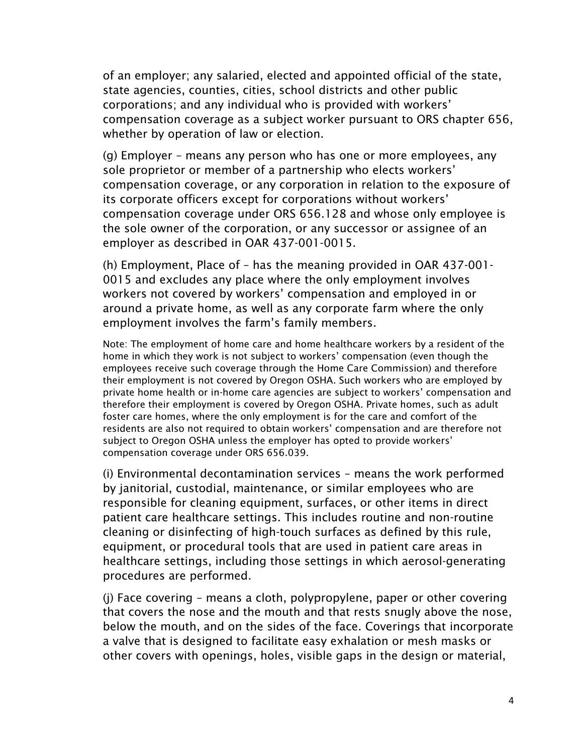of an employer; any salaried, elected and appointed official of the state, state agencies, counties, cities, school districts and other public corporations; and any individual who is provided with workers' compensation coverage as a subject worker pursuant to ORS chapter 656, whether by operation of law or election.

(g) Employer – means any person who has one or more employees, any sole proprietor or member of a partnership who elects workers' compensation coverage, or any corporation in relation to the exposure of its corporate officers except for corporations without workers' compensation coverage under ORS 656.128 and whose only employee is the sole owner of the corporation, or any successor or assignee of an employer as described in OAR 437-001-0015.

(h) Employment, Place of – has the meaning provided in OAR 437-001- 0015 and excludes any place where the only employment involves workers not covered by workers' compensation and employed in or around a private home, as well as any corporate farm where the only employment involves the farm's family members.

Note: The employment of home care and home healthcare workers by a resident of the home in which they work is not subject to workers' compensation (even though the employees receive such coverage through the Home Care Commission) and therefore their employment is not covered by Oregon OSHA. Such workers who are employed by private home health or in-home care agencies are subject to workers' compensation and therefore their employment is covered by Oregon OSHA. Private homes, such as adult foster care homes, where the only employment is for the care and comfort of the residents are also not required to obtain workers' compensation and are therefore not subject to Oregon OSHA unless the employer has opted to provide workers' compensation coverage under ORS 656.039.

(i) Environmental decontamination services – means the work performed by janitorial, custodial, maintenance, or similar employees who are responsible for cleaning equipment, surfaces, or other items in direct patient care healthcare settings. This includes routine and non-routine cleaning or disinfecting of high-touch surfaces as defined by this rule, equipment, or procedural tools that are used in patient care areas in healthcare settings, including those settings in which aerosol-generating procedures are performed.

(j) Face covering – means a cloth, polypropylene, paper or other covering that covers the nose and the mouth and that rests snugly above the nose, below the mouth, and on the sides of the face. Coverings that incorporate a valve that is designed to facilitate easy exhalation or mesh masks or other covers with openings, holes, visible gaps in the design or material,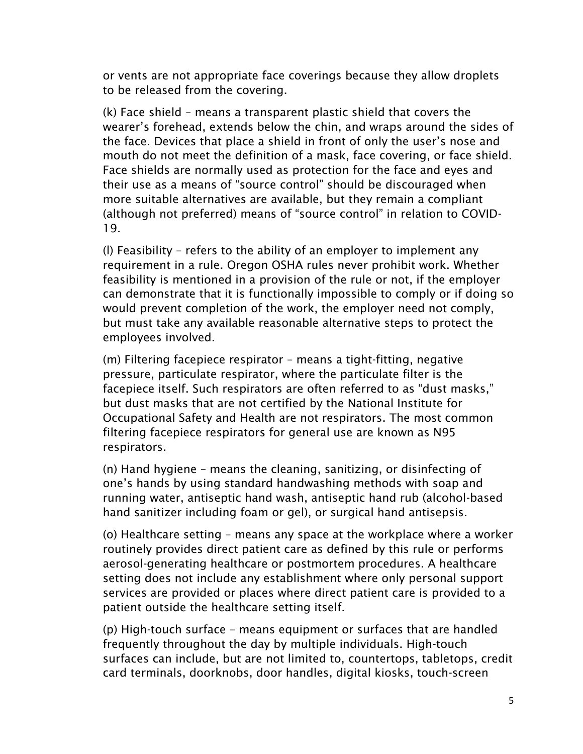or vents are not appropriate face coverings because they allow droplets to be released from the covering.

(k) Face shield – means a transparent plastic shield that covers the wearer's forehead, extends below the chin, and wraps around the sides of the face. Devices that place a shield in front of only the user's nose and mouth do not meet the definition of a mask, face covering, or face shield. Face shields are normally used as protection for the face and eyes and their use as a means of "source control" should be discouraged when more suitable alternatives are available, but they remain a compliant (although not preferred) means of "source control" in relation to COVID-19.

(l) Feasibility – refers to the ability of an employer to implement any requirement in a rule. Oregon OSHA rules never prohibit work. Whether feasibility is mentioned in a provision of the rule or not, if the employer can demonstrate that it is functionally impossible to comply or if doing so would prevent completion of the work, the employer need not comply, but must take any available reasonable alternative steps to protect the employees involved.

(m) Filtering facepiece respirator – means a tight-fitting, negative pressure, particulate respirator, where the particulate filter is the facepiece itself. Such respirators are often referred to as "dust masks," but dust masks that are not certified by the National Institute for Occupational Safety and Health are not respirators. The most common filtering facepiece respirators for general use are known as N95 respirators.

(n) Hand hygiene – means the cleaning, sanitizing, or disinfecting of one's hands by using standard handwashing methods with soap and running water, antiseptic hand wash, antiseptic hand rub (alcohol-based hand sanitizer including foam or gel), or surgical hand antisepsis.

(o) Healthcare setting – means any space at the workplace where a worker routinely provides direct patient care as defined by this rule or performs aerosol-generating healthcare or postmortem procedures. A healthcare setting does not include any establishment where only personal support services are provided or places where direct patient care is provided to a patient outside the healthcare setting itself.

(p) High-touch surface – means equipment or surfaces that are handled frequently throughout the day by multiple individuals. High-touch surfaces can include, but are not limited to, countertops, tabletops, credit card terminals, doorknobs, door handles, digital kiosks, touch-screen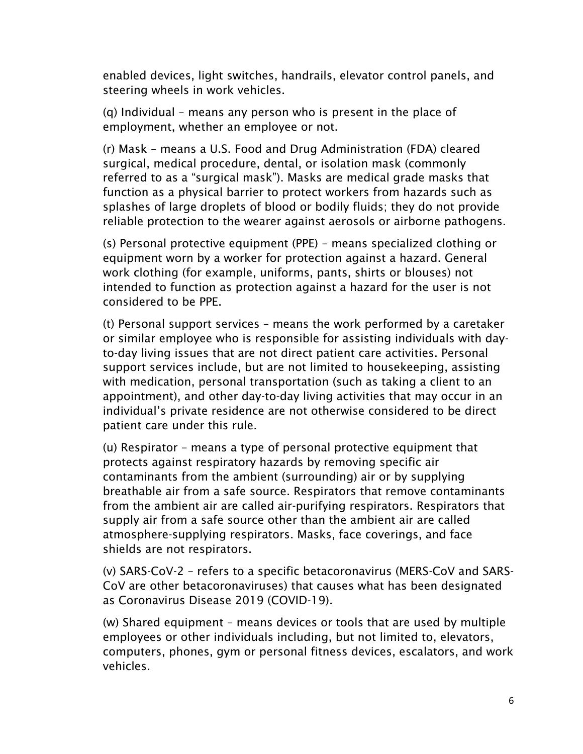enabled devices, light switches, handrails, elevator control panels, and steering wheels in work vehicles.

(q) Individual – means any person who is present in the place of employment, whether an employee or not.

(r) Mask – means a U.S. Food and Drug Administration (FDA) cleared surgical, medical procedure, dental, or isolation mask (commonly referred to as a "surgical mask"). Masks are medical grade masks that function as a physical barrier to protect workers from hazards such as splashes of large droplets of blood or bodily fluids; they do not provide reliable protection to the wearer against aerosols or airborne pathogens.

(s) Personal protective equipment (PPE) – means specialized clothing or equipment worn by a worker for protection against a hazard. General work clothing (for example, uniforms, pants, shirts or blouses) not intended to function as protection against a hazard for the user is not considered to be PPE.

(t) Personal support services – means the work performed by a caretaker or similar employee who is responsible for assisting individuals with dayto-day living issues that are not direct patient care activities. Personal support services include, but are not limited to housekeeping, assisting with medication, personal transportation (such as taking a client to an appointment), and other day-to-day living activities that may occur in an individual's private residence are not otherwise considered to be direct patient care under this rule.

(u) Respirator – means a type of personal protective equipment that protects against respiratory hazards by removing specific air contaminants from the ambient (surrounding) air or by supplying breathable air from a safe source. Respirators that remove contaminants from the ambient air are called air-purifying respirators. Respirators that supply air from a safe source other than the ambient air are called atmosphere-supplying respirators. Masks, face coverings, and face shields are not respirators.

(v) SARS-CoV-2 – refers to a specific betacoronavirus (MERS-CoV and SARS-CoV are other betacoronaviruses) that causes what has been designated as Coronavirus Disease 2019 (COVID-19).

(w) Shared equipment – means devices or tools that are used by multiple employees or other individuals including, but not limited to, elevators, computers, phones, gym or personal fitness devices, escalators, and work vehicles.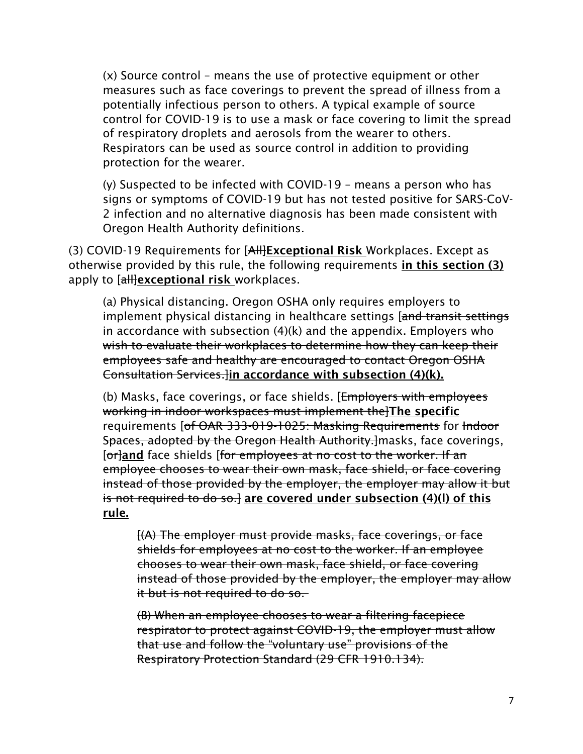(x) Source control – means the use of protective equipment or other measures such as face coverings to prevent the spread of illness from a potentially infectious person to others. A typical example of source control for COVID-19 is to use a mask or face covering to limit the spread of respiratory droplets and aerosols from the wearer to others. Respirators can be used as source control in addition to providing protection for the wearer.

(y) Suspected to be infected with COVID-19 – means a person who has signs or symptoms of COVID-19 but has not tested positive for SARS-CoV-2 infection and no alternative diagnosis has been made consistent with Oregon Health Authority definitions.

(3) COVID-19 Requirements for [All]Exceptional Risk Workplaces. Except as otherwise provided by this rule, the following requirements in this section (3) apply to [all]exceptional risk workplaces.

(a) Physical distancing. Oregon OSHA only requires employers to implement physical distancing in healthcare settings [and transit settings] in accordance with subsection (4)(k) and the appendix. Employers who wish to evaluate their workplaces to determine how they can keep their employees safe and healthy are encouraged to contact Oregon OSHA Consultation Services.]in accordance with subsection (4)(k).

(b) Masks, face coverings, or face shields. [Employers with employees working in indoor workspaces must implement the]The specific requirements [of OAR 333-019-1025: Masking Requirements for Indoor Spaces, adopted by the Oregon Health Authority. masks, face coverings, [or]and face shields [for employees at no cost to the worker. If an employee chooses to wear their own mask, face shield, or face covering instead of those provided by the employer, the employer may allow it but is not required to do so.] are covered under subsection  $(4)(I)$  of this rule.

[(A) The employer must provide masks, face coverings, or face shields for employees at no cost to the worker. If an employee chooses to wear their own mask, face shield, or face covering instead of those provided by the employer, the employer may allow it but is not required to do so.

(B) When an employee chooses to wear a filtering facepiece respirator to protect against COVID-19, the employer must allow that use and follow the "voluntary use" provisions of the Respiratory Protection Standard (29 CFR 1910.134).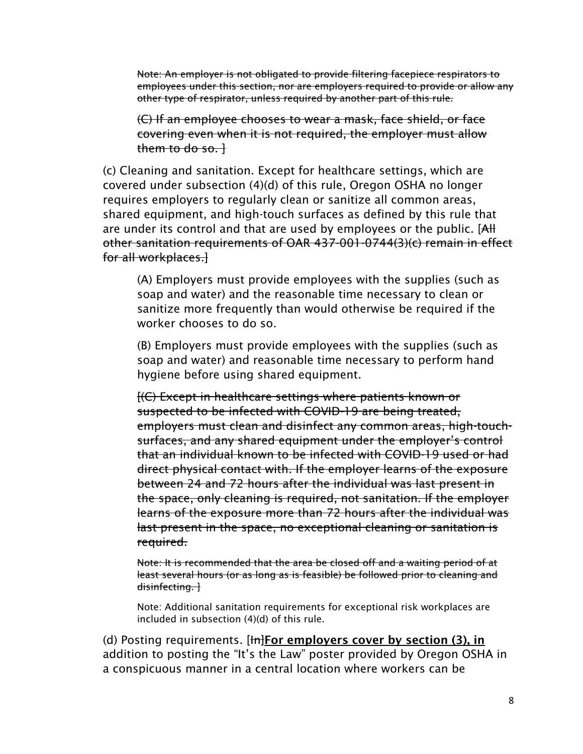Note: An employer is not obligated to provide filtering facepiece respirators to employees under this section, nor are employers required to provide or allow any other type of respirator, unless required by another part of this rule.

(C) If an employee chooses to wear a mask, face shield, or face covering even when it is not required, the employer must allow them to do so. $\vdash$ 

(c) Cleaning and sanitation. Except for healthcare settings, which are covered under subsection (4)(d) of this rule, Oregon OSHA no longer requires employers to regularly clean or sanitize all common areas, shared equipment, and high-touch surfaces as defined by this rule that are under its control and that are used by employees or the public. [AH other sanitation requirements of OAR 437-001-0744(3)(c) remain in effect for all workplaces.]

(A) Employers must provide employees with the supplies (such as soap and water) and the reasonable time necessary to clean or sanitize more frequently than would otherwise be required if the worker chooses to do so.

(B) Employers must provide employees with the supplies (such as soap and water) and reasonable time necessary to perform hand hygiene before using shared equipment.

[(C) Except in healthcare settings where patients known or suspected to be infected with COVID-19 are being treated, employers must clean and disinfect any common areas, high-touchsurfaces, and any shared equipment under the employer's control that an individual known to be infected with COVID-19 used or had direct physical contact with. If the employer learns of the exposure between 24 and 72 hours after the individual was last present in the space, only cleaning is required, not sanitation. If the employer learns of the exposure more than 72 hours after the individual was last present in the space, no exceptional cleaning or sanitation is required.

Note: It is recommended that the area be closed off and a waiting period of at least several hours (or as long as is feasible) be followed prior to cleaning and disinfecting. }

Note: Additional sanitation requirements for exceptional risk workplaces are included in subsection (4)(d) of this rule.

(d) Posting requirements.  $[H]$ For employers cover by section (3), in addition to posting the "It's the Law" poster provided by Oregon OSHA in a conspicuous manner in a central location where workers can be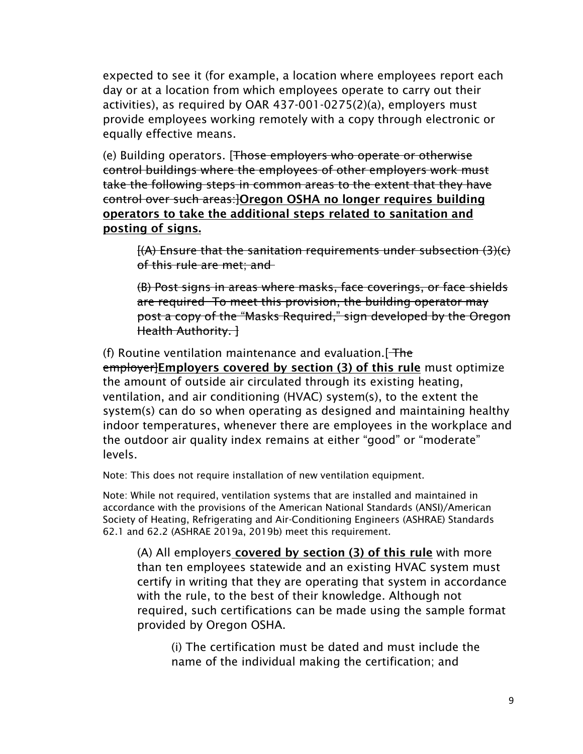expected to see it (for example, a location where employees report each day or at a location from which employees operate to carry out their activities), as required by OAR 437-001-0275(2)(a), employers must provide employees working remotely with a copy through electronic or equally effective means.

(e) Building operators. [Those employers who operate or otherwise control buildings where the employees of other employers work must take the following steps in common areas to the extent that they have control over such areas:]Oregon OSHA no longer requires building operators to take the additional steps related to sanitation and posting of signs.

[(A) Ensure that the sanitation requirements under subsection (3)(c) of this rule are met; and

(B) Post signs in areas where masks, face coverings, or face shields are required To meet this provision, the building operator may post a copy of the "Masks Required," sign developed by the Oregon Health Authority. ]

(f) Routine ventilation maintenance and evaluation.  $F$  The employer]Employers covered by section (3) of this rule must optimize the amount of outside air circulated through its existing heating, ventilation, and air conditioning (HVAC) system(s), to the extent the system(s) can do so when operating as designed and maintaining healthy indoor temperatures, whenever there are employees in the workplace and the outdoor air quality index remains at either "good" or "moderate" levels.

Note: This does not require installation of new ventilation equipment.

Note: While not required, ventilation systems that are installed and maintained in accordance with the provisions of the American National Standards (ANSI)/American Society of Heating, Refrigerating and Air-Conditioning Engineers (ASHRAE) Standards 62.1 and 62.2 (ASHRAE 2019a, 2019b) meet this requirement.

(A) All employers covered by section (3) of this rule with more than ten employees statewide and an existing HVAC system must certify in writing that they are operating that system in accordance with the rule, to the best of their knowledge. Although not required, such certifications can be made using the sample format provided by Oregon OSHA.

(i) The certification must be dated and must include the name of the individual making the certification; and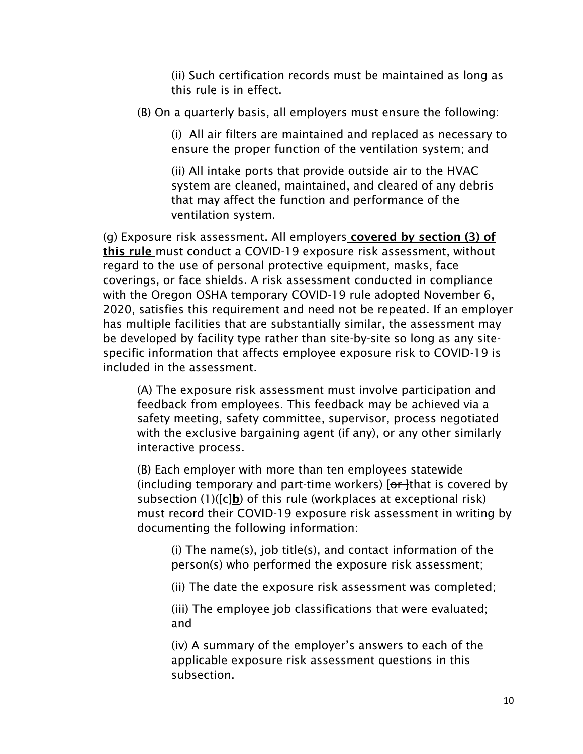(ii) Such certification records must be maintained as long as this rule is in effect.

(B) On a quarterly basis, all employers must ensure the following:

(i) All air filters are maintained and replaced as necessary to ensure the proper function of the ventilation system; and

(ii) All intake ports that provide outside air to the HVAC system are cleaned, maintained, and cleared of any debris that may affect the function and performance of the ventilation system.

(g) Exposure risk assessment. All employers covered by section (3) of this rule must conduct a COVID-19 exposure risk assessment, without regard to the use of personal protective equipment, masks, face coverings, or face shields. A risk assessment conducted in compliance with the Oregon OSHA temporary COVID-19 rule adopted November 6, 2020, satisfies this requirement and need not be repeated. If an employer has multiple facilities that are substantially similar, the assessment may be developed by facility type rather than site-by-site so long as any sitespecific information that affects employee exposure risk to COVID-19 is included in the assessment.

(A) The exposure risk assessment must involve participation and feedback from employees. This feedback may be achieved via a safety meeting, safety committee, supervisor, process negotiated with the exclusive bargaining agent (if any), or any other similarly interactive process.

(B) Each employer with more than ten employees statewide (including temporary and part-time workers)  $[**or**]$ that is covered by subsection (1)( $\left[\frac{1}{2}b\right]$  of this rule (workplaces at exceptional risk) must record their COVID-19 exposure risk assessment in writing by documenting the following information:

(i) The name(s), job title(s), and contact information of the person(s) who performed the exposure risk assessment;

(ii) The date the exposure risk assessment was completed;

(iii) The employee job classifications that were evaluated; and

(iv) A summary of the employer's answers to each of the applicable exposure risk assessment questions in this subsection.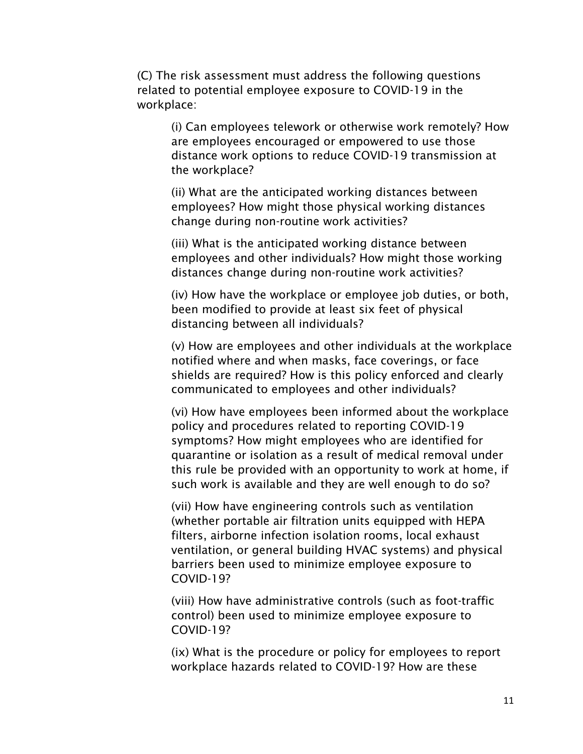(C) The risk assessment must address the following questions related to potential employee exposure to COVID-19 in the workplace:

(i) Can employees telework or otherwise work remotely? How are employees encouraged or empowered to use those distance work options to reduce COVID-19 transmission at the workplace?

(ii) What are the anticipated working distances between employees? How might those physical working distances change during non-routine work activities?

(iii) What is the anticipated working distance between employees and other individuals? How might those working distances change during non-routine work activities?

(iv) How have the workplace or employee job duties, or both, been modified to provide at least six feet of physical distancing between all individuals?

(v) How are employees and other individuals at the workplace notified where and when masks, face coverings, or face shields are required? How is this policy enforced and clearly communicated to employees and other individuals?

(vi) How have employees been informed about the workplace policy and procedures related to reporting COVID-19 symptoms? How might employees who are identified for quarantine or isolation as a result of medical removal under this rule be provided with an opportunity to work at home, if such work is available and they are well enough to do so?

(vii) How have engineering controls such as ventilation (whether portable air filtration units equipped with HEPA filters, airborne infection isolation rooms, local exhaust ventilation, or general building HVAC systems) and physical barriers been used to minimize employee exposure to COVID-19?

(viii) How have administrative controls (such as foot-traffic control) been used to minimize employee exposure to COVID-19?

(ix) What is the procedure or policy for employees to report workplace hazards related to COVID-19? How are these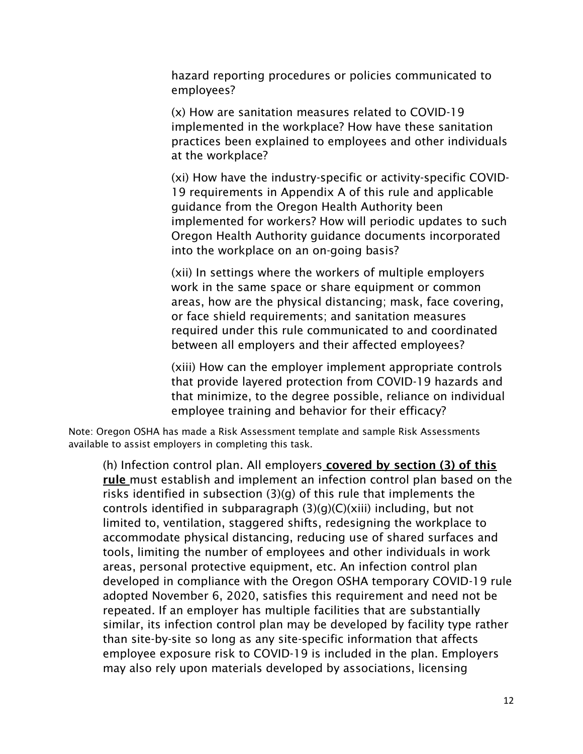hazard reporting procedures or policies communicated to employees?

(x) How are sanitation measures related to COVID-19 implemented in the workplace? How have these sanitation practices been explained to employees and other individuals at the workplace?

(xi) How have the industry-specific or activity-specific COVID-19 requirements in Appendix A of this rule and applicable guidance from the Oregon Health Authority been implemented for workers? How will periodic updates to such Oregon Health Authority guidance documents incorporated into the workplace on an on-going basis?

(xii) In settings where the workers of multiple employers work in the same space or share equipment or common areas, how are the physical distancing; mask, face covering, or face shield requirements; and sanitation measures required under this rule communicated to and coordinated between all employers and their affected employees?

(xiii) How can the employer implement appropriate controls that provide layered protection from COVID-19 hazards and that minimize, to the degree possible, reliance on individual employee training and behavior for their efficacy?

Note: Oregon OSHA has made a Risk Assessment template and sample Risk Assessments available to assist employers in completing this task.

(h) Infection control plan. All employers covered by section (3) of this rule must establish and implement an infection control plan based on the risks identified in subsection (3)(g) of this rule that implements the controls identified in subparagraph (3)(g)(C)(xiii) including, but not limited to, ventilation, staggered shifts, redesigning the workplace to accommodate physical distancing, reducing use of shared surfaces and tools, limiting the number of employees and other individuals in work areas, personal protective equipment, etc. An infection control plan developed in compliance with the Oregon OSHA temporary COVID-19 rule adopted November 6, 2020, satisfies this requirement and need not be repeated. If an employer has multiple facilities that are substantially similar, its infection control plan may be developed by facility type rather than site-by-site so long as any site-specific information that affects employee exposure risk to COVID-19 is included in the plan. Employers may also rely upon materials developed by associations, licensing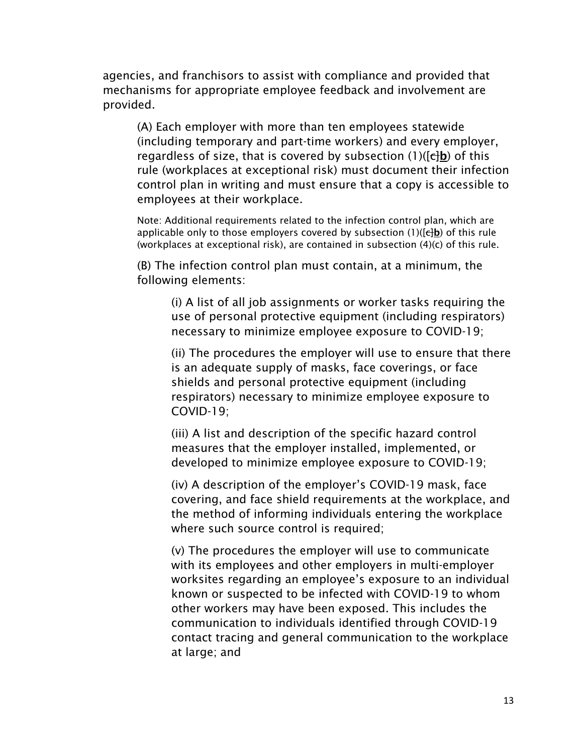agencies, and franchisors to assist with compliance and provided that mechanisms for appropriate employee feedback and involvement are provided.

(A) Each employer with more than ten employees statewide (including temporary and part-time workers) and every employer, regardless of size, that is covered by subsection  $(1)(\left[\frac{1}{k}\right]b)$  of this rule (workplaces at exceptional risk) must document their infection control plan in writing and must ensure that a copy is accessible to employees at their workplace.

Note: Additional requirements related to the infection control plan, which are applicable only to those employers covered by subsection  $(1)(\left[\frac{1}{k}\right])$  of this rule (workplaces at exceptional risk), are contained in subsection (4)(c) of this rule.

(B) The infection control plan must contain, at a minimum, the following elements:

(i) A list of all job assignments or worker tasks requiring the use of personal protective equipment (including respirators) necessary to minimize employee exposure to COVID-19;

(ii) The procedures the employer will use to ensure that there is an adequate supply of masks, face coverings, or face shields and personal protective equipment (including respirators) necessary to minimize employee exposure to COVID-19;

(iii) A list and description of the specific hazard control measures that the employer installed, implemented, or developed to minimize employee exposure to COVID-19;

(iv) A description of the employer's COVID-19 mask, face covering, and face shield requirements at the workplace, and the method of informing individuals entering the workplace where such source control is required;

(v) The procedures the employer will use to communicate with its employees and other employers in multi-employer worksites regarding an employee's exposure to an individual known or suspected to be infected with COVID-19 to whom other workers may have been exposed. This includes the communication to individuals identified through COVID-19 contact tracing and general communication to the workplace at large; and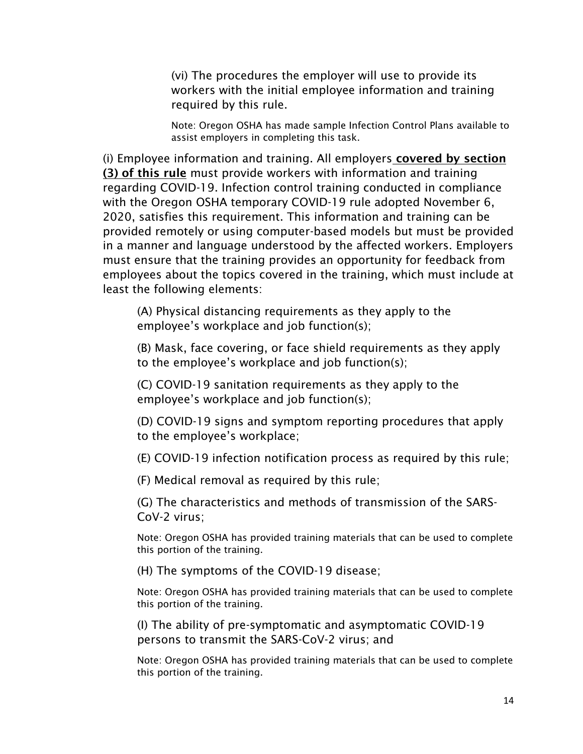(vi) The procedures the employer will use to provide its workers with the initial employee information and training required by this rule.

Note: Oregon OSHA has made sample Infection Control Plans available to assist employers in completing this task.

(i) Employee information and training. All employers covered by section (3) of this rule must provide workers with information and training regarding COVID-19. Infection control training conducted in compliance with the Oregon OSHA temporary COVID-19 rule adopted November 6, 2020, satisfies this requirement. This information and training can be provided remotely or using computer-based models but must be provided in a manner and language understood by the affected workers. Employers must ensure that the training provides an opportunity for feedback from employees about the topics covered in the training, which must include at least the following elements:

(A) Physical distancing requirements as they apply to the employee's workplace and job function(s);

(B) Mask, face covering, or face shield requirements as they apply to the employee's workplace and job function(s);

(C) COVID-19 sanitation requirements as they apply to the employee's workplace and job function(s);

(D) COVID-19 signs and symptom reporting procedures that apply to the employee's workplace;

(E) COVID-19 infection notification process as required by this rule;

(F) Medical removal as required by this rule;

(G) The characteristics and methods of transmission of the SARS-CoV-2 virus;

Note: Oregon OSHA has provided training materials that can be used to complete this portion of the training.

(H) The symptoms of the COVID-19 disease;

Note: Oregon OSHA has provided training materials that can be used to complete this portion of the training.

(I) The ability of pre-symptomatic and asymptomatic COVID-19 persons to transmit the SARS-CoV-2 virus; and

Note: Oregon OSHA has provided training materials that can be used to complete this portion of the training.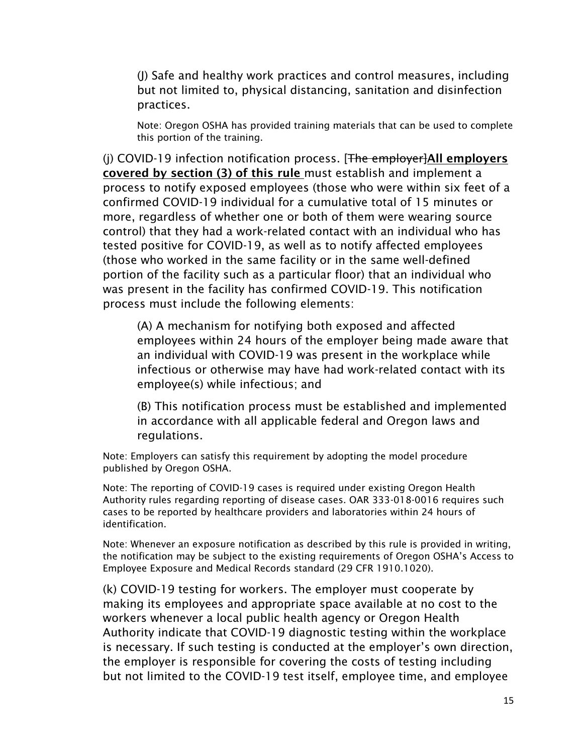(J) Safe and healthy work practices and control measures, including but not limited to, physical distancing, sanitation and disinfection practices.

Note: Oregon OSHA has provided training materials that can be used to complete this portion of the training.

(i) COVID-19 infection notification process.  $[**The**$  employer $|$ All employers covered by section (3) of this rule must establish and implement a process to notify exposed employees (those who were within six feet of a confirmed COVID-19 individual for a cumulative total of 15 minutes or more, regardless of whether one or both of them were wearing source control) that they had a work-related contact with an individual who has tested positive for COVID-19, as well as to notify affected employees (those who worked in the same facility or in the same well-defined portion of the facility such as a particular floor) that an individual who was present in the facility has confirmed COVID-19. This notification process must include the following elements:

(A) A mechanism for notifying both exposed and affected employees within 24 hours of the employer being made aware that an individual with COVID-19 was present in the workplace while infectious or otherwise may have had work-related contact with its employee(s) while infectious; and

(B) This notification process must be established and implemented in accordance with all applicable federal and Oregon laws and regulations.

Note: Employers can satisfy this requirement by adopting the model procedure published by Oregon OSHA.

Note: The reporting of COVID-19 cases is required under existing Oregon Health Authority rules regarding reporting of disease cases. OAR 333-018-0016 requires such cases to be reported by healthcare providers and laboratories within 24 hours of identification.

Note: Whenever an exposure notification as described by this rule is provided in writing, the notification may be subject to the existing requirements of Oregon OSHA's Access to Employee Exposure and Medical Records standard (29 CFR 1910.1020).

(k) COVID-19 testing for workers. The employer must cooperate by making its employees and appropriate space available at no cost to the workers whenever a local public health agency or Oregon Health Authority indicate that COVID-19 diagnostic testing within the workplace is necessary. If such testing is conducted at the employer's own direction, the employer is responsible for covering the costs of testing including but not limited to the COVID-19 test itself, employee time, and employee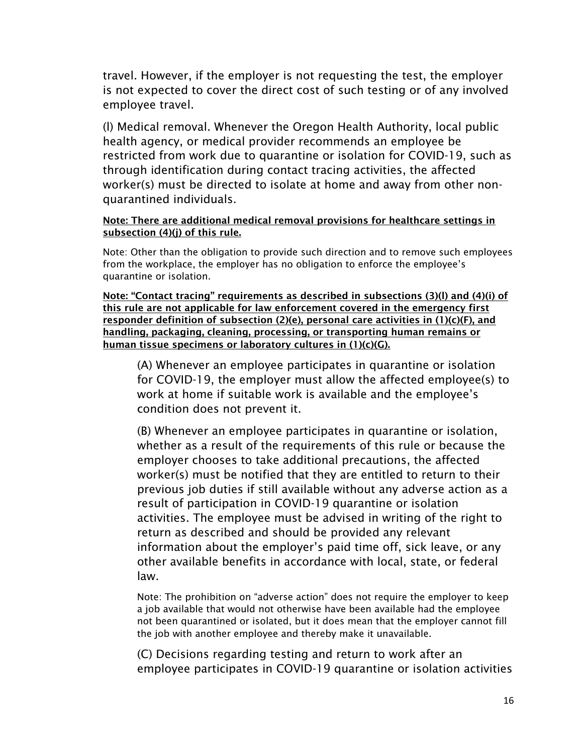travel. However, if the employer is not requesting the test, the employer is not expected to cover the direct cost of such testing or of any involved employee travel.

(l) Medical removal. Whenever the Oregon Health Authority, local public health agency, or medical provider recommends an employee be restricted from work due to quarantine or isolation for COVID-19, such as through identification during contact tracing activities, the affected worker(s) must be directed to isolate at home and away from other nonquarantined individuals.

#### Note: There are additional medical removal provisions for healthcare settings in subsection (4)(j) of this rule.

Note: Other than the obligation to provide such direction and to remove such employees from the workplace, the employer has no obligation to enforce the employee's quarantine or isolation.

Note: "Contact tracing" requirements as described in subsections (3)(l) and (4)(i) of this rule are not applicable for law enforcement covered in the emergency first responder definition of subsection (2)(e), personal care activities in (1)(c)(F), and handling, packaging, cleaning, processing, or transporting human remains or human tissue specimens or laboratory cultures in (1)(c)(G).

(A) Whenever an employee participates in quarantine or isolation for COVID-19, the employer must allow the affected employee(s) to work at home if suitable work is available and the employee's condition does not prevent it.

(B) Whenever an employee participates in quarantine or isolation, whether as a result of the requirements of this rule or because the employer chooses to take additional precautions, the affected worker(s) must be notified that they are entitled to return to their previous job duties if still available without any adverse action as a result of participation in COVID-19 quarantine or isolation activities. The employee must be advised in writing of the right to return as described and should be provided any relevant information about the employer's paid time off, sick leave, or any other available benefits in accordance with local, state, or federal law.

Note: The prohibition on "adverse action" does not require the employer to keep a job available that would not otherwise have been available had the employee not been quarantined or isolated, but it does mean that the employer cannot fill the job with another employee and thereby make it unavailable.

(C) Decisions regarding testing and return to work after an employee participates in COVID-19 quarantine or isolation activities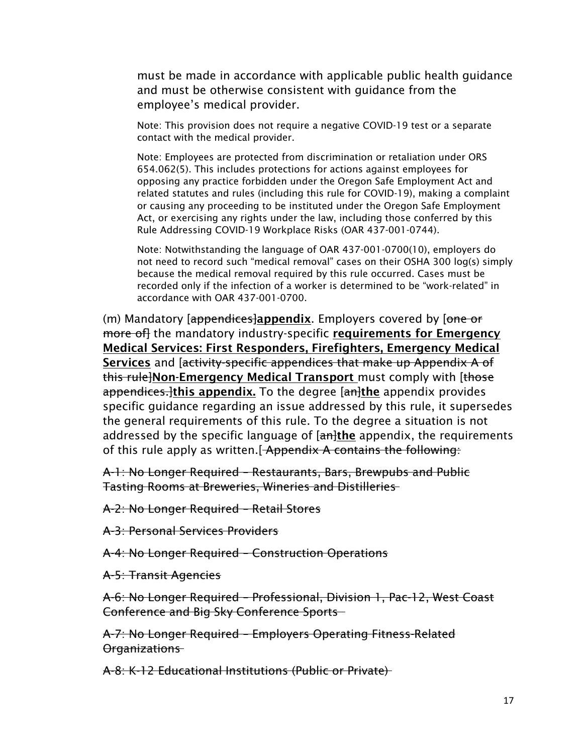must be made in accordance with applicable public health guidance and must be otherwise consistent with guidance from the employee's medical provider.

Note: This provision does not require a negative COVID-19 test or a separate contact with the medical provider.

Note: Employees are protected from discrimination or retaliation under ORS 654.062(5). This includes protections for actions against employees for opposing any practice forbidden under the Oregon Safe Employment Act and related statutes and rules (including this rule for COVID-19), making a complaint or causing any proceeding to be instituted under the Oregon Safe Employment Act, or exercising any rights under the law, including those conferred by this Rule Addressing COVID-19 Workplace Risks (OAR 437-001-0744).

Note: Notwithstanding the language of OAR 437-001-0700(10), employers do not need to record such "medical removal" cases on their OSHA 300 log(s) simply because the medical removal required by this rule occurred. Cases must be recorded only if the infection of a worker is determined to be "work-related" in accordance with OAR 437-001-0700.

(m) Mandatory [appendices]appendix. Employers covered by [one or more of the mandatory industry-specific requirements for Emergency Medical Services: First Responders, Firefighters, Emergency Medical Services and [activity-specific appendices that make up Appendix A of this rule Non-Emergency Medical Transport must comply with [those] appendices. Ithis appendix. To the degree [an]the appendix provides specific guidance regarding an issue addressed by this rule, it supersedes the general requirements of this rule. To the degree a situation is not addressed by the specific language of  $[$ an the appendix, the requirements of this rule apply as written. [Appendix A contains the following:

A-1: No Longer Required – Restaurants, Bars, Brewpubs and Public Tasting Rooms at Breweries, Wineries and Distilleries

A-2: No Longer Required – Retail Stores

A-3: Personal Services Providers

A-4: No Longer Required – Construction Operations

A-5: Transit Agencies

A-6: No Longer Required – Professional, Division 1, Pac-12, West Coast Conference and Big Sky Conference Sports

A-7: No Longer Required – Employers Operating Fitness-Related Organizations

A-8: K-12 Educational Institutions (Public or Private)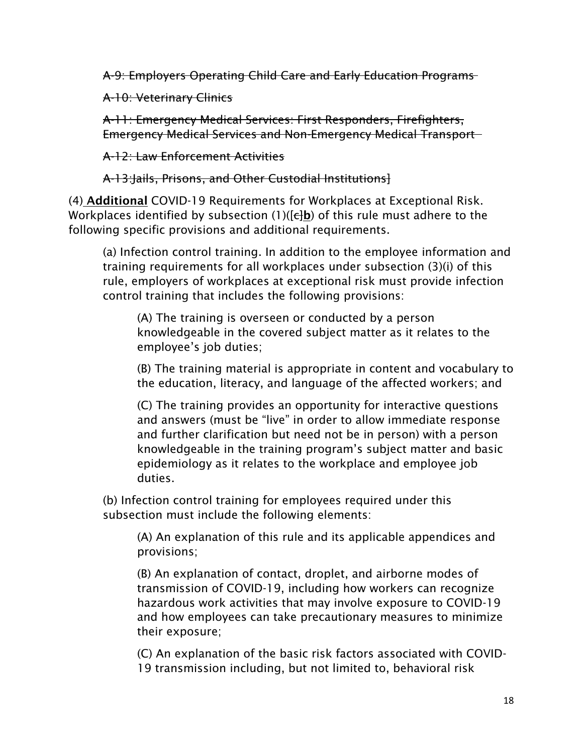A-9: Employers Operating Child Care and Early Education Programs

A-10: Veterinary Clinics

A-11: Emergency Medical Services: First Responders, Firefighters, Emergency Medical Services and Non-Emergency Medical Transport

A-12: Law Enforcement Activities

A-13:Jails, Prisons, and Other Custodial Institutions]

(4) Additional COVID-19 Requirements for Workplaces at Exceptional Risk. Workplaces identified by subsection (1)( $\left[\frac{1}{k}\right]$  of this rule must adhere to the following specific provisions and additional requirements.

(a) Infection control training. In addition to the employee information and training requirements for all workplaces under subsection (3)(i) of this rule, employers of workplaces at exceptional risk must provide infection control training that includes the following provisions:

(A) The training is overseen or conducted by a person knowledgeable in the covered subject matter as it relates to the employee's job duties;

(B) The training material is appropriate in content and vocabulary to the education, literacy, and language of the affected workers; and

(C) The training provides an opportunity for interactive questions and answers (must be "live" in order to allow immediate response and further clarification but need not be in person) with a person knowledgeable in the training program's subject matter and basic epidemiology as it relates to the workplace and employee job duties.

(b) Infection control training for employees required under this subsection must include the following elements:

(A) An explanation of this rule and its applicable appendices and provisions;

(B) An explanation of contact, droplet, and airborne modes of transmission of COVID-19, including how workers can recognize hazardous work activities that may involve exposure to COVID-19 and how employees can take precautionary measures to minimize their exposure;

(C) An explanation of the basic risk factors associated with COVID-19 transmission including, but not limited to, behavioral risk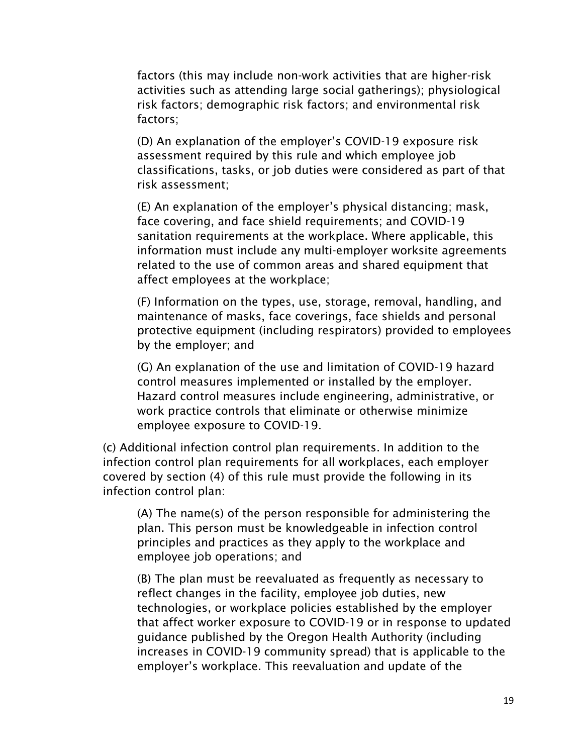factors (this may include non-work activities that are higher-risk activities such as attending large social gatherings); physiological risk factors; demographic risk factors; and environmental risk factors;

(D) An explanation of the employer's COVID-19 exposure risk assessment required by this rule and which employee job classifications, tasks, or job duties were considered as part of that risk assessment;

(E) An explanation of the employer's physical distancing; mask, face covering, and face shield requirements; and COVID-19 sanitation requirements at the workplace. Where applicable, this information must include any multi-employer worksite agreements related to the use of common areas and shared equipment that affect employees at the workplace;

(F) Information on the types, use, storage, removal, handling, and maintenance of masks, face coverings, face shields and personal protective equipment (including respirators) provided to employees by the employer; and

(G) An explanation of the use and limitation of COVID-19 hazard control measures implemented or installed by the employer. Hazard control measures include engineering, administrative, or work practice controls that eliminate or otherwise minimize employee exposure to COVID-19.

(c) Additional infection control plan requirements. In addition to the infection control plan requirements for all workplaces, each employer covered by section (4) of this rule must provide the following in its infection control plan:

(A) The name(s) of the person responsible for administering the plan. This person must be knowledgeable in infection control principles and practices as they apply to the workplace and employee job operations; and

(B) The plan must be reevaluated as frequently as necessary to reflect changes in the facility, employee job duties, new technologies, or workplace policies established by the employer that affect worker exposure to COVID-19 or in response to updated guidance published by the Oregon Health Authority (including increases in COVID-19 community spread) that is applicable to the employer's workplace. This reevaluation and update of the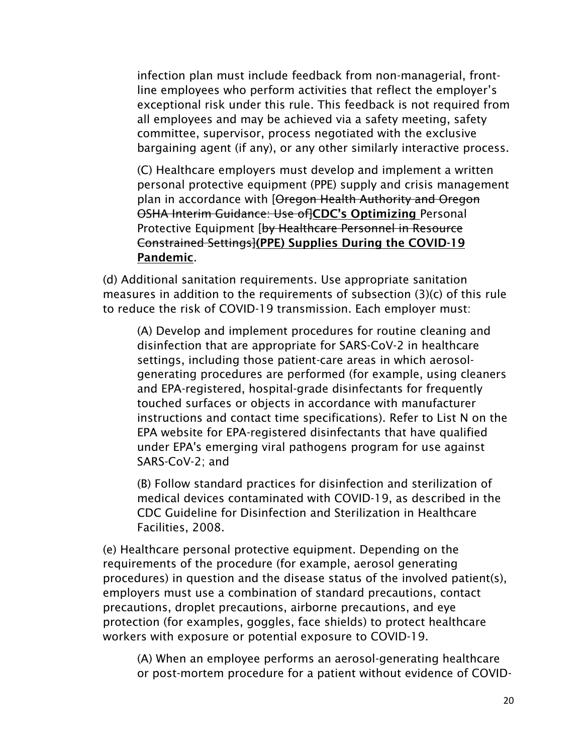infection plan must include feedback from non-managerial, frontline employees who perform activities that reflect the employer's exceptional risk under this rule. This feedback is not required from all employees and may be achieved via a safety meeting, safety committee, supervisor, process negotiated with the exclusive bargaining agent (if any), or any other similarly interactive process.

(C) Healthcare employers must develop and implement a written personal protective equipment (PPE) supply and crisis management plan in accordance with [Oregon Health Authority and Oregon OSHA Interim Guidance: Use of CDC's Optimizing Personal Protective Equipment [by Healthcare Personnel in Resource Constrained Settings](PPE) Supplies During the COVID-19 Pandemic.

(d) Additional sanitation requirements. Use appropriate sanitation measures in addition to the requirements of subsection (3)(c) of this rule to reduce the risk of COVID-19 transmission. Each employer must:

(A) Develop and implement procedures for routine cleaning and disinfection that are appropriate for SARS-CoV-2 in healthcare settings, including those patient-care areas in which aerosolgenerating procedures are performed (for example, using cleaners and EPA-registered, hospital-grade disinfectants for frequently touched surfaces or objects in accordance with manufacturer instructions and contact time specifications). Refer to List N on the EPA website for EPA-registered disinfectants that have qualified under EPA's emerging viral pathogens program for use against SARS-CoV-2; and

(B) Follow standard practices for disinfection and sterilization of medical devices contaminated with COVID-19, as described in the CDC Guideline for Disinfection and Sterilization in Healthcare Facilities, 2008.

(e) Healthcare personal protective equipment. Depending on the requirements of the procedure (for example, aerosol generating procedures) in question and the disease status of the involved patient(s), employers must use a combination of standard precautions, contact precautions, droplet precautions, airborne precautions, and eye protection (for examples, goggles, face shields) to protect healthcare workers with exposure or potential exposure to COVID-19.

(A) When an employee performs an aerosol-generating healthcare or post-mortem procedure for a patient without evidence of COVID-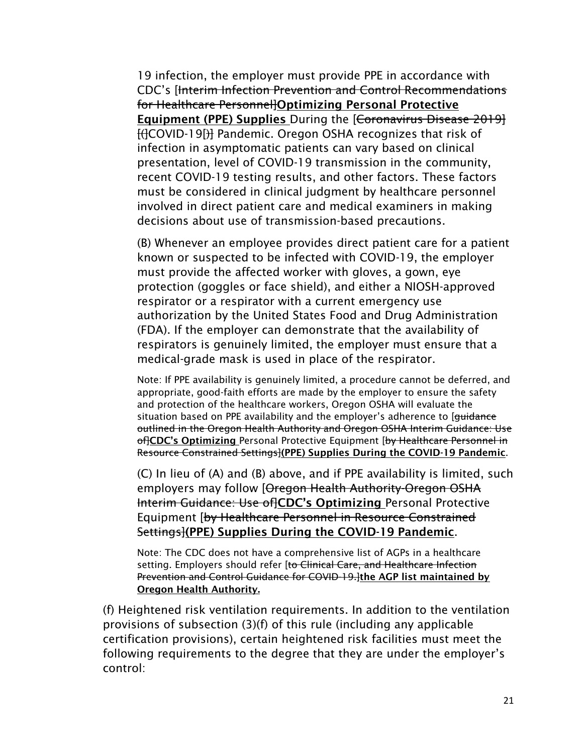19 infection, the employer must provide PPE in accordance with CDC's [Interim Infection Prevention and Control Recommendations for Healthcare Personnel]Optimizing Personal Protective Equipment (PPE) Supplies During the [Coronavirus Disease 2019] [(]COVID-19[)] Pandemic. Oregon OSHA recognizes that risk of infection in asymptomatic patients can vary based on clinical presentation, level of COVID-19 transmission in the community, recent COVID-19 testing results, and other factors. These factors must be considered in clinical judgment by healthcare personnel involved in direct patient care and medical examiners in making decisions about use of transmission-based precautions.

(B) Whenever an employee provides direct patient care for a patient known or suspected to be infected with COVID-19, the employer must provide the affected worker with gloves, a gown, eye protection (goggles or face shield), and either a NIOSH-approved respirator or a respirator with a current emergency use authorization by the United States Food and Drug Administration (FDA). If the employer can demonstrate that the availability of respirators is genuinely limited, the employer must ensure that a medical-grade mask is used in place of the respirator.

Note: If PPE availability is genuinely limited, a procedure cannot be deferred, and appropriate, good-faith efforts are made by the employer to ensure the safety and protection of the healthcare workers, Oregon OSHA will evaluate the situation based on PPE availability and the employer's adherence to [guidance] outlined in the Oregon Health Authority and Oregon OSHA Interim Guidance: Use offCDC's Optimizing Personal Protective Equipment [by Healthcare Personnel in Resource Constrained Settings](PPE) Supplies During the COVID-19 Pandemic.

(C) In lieu of (A) and (B) above, and if PPE availability is limited, such employers may follow [Oregon Health Authority-Oregon OSHA Interim Guidance: Use of CDC's Optimizing Personal Protective Equipment [by Healthcare Personnel in Resource Constrained Settings](PPE) Supplies During the COVID-19 Pandemic.

Note: The CDC does not have a comprehensive list of AGPs in a healthcare setting. Employers should refer [to Clinical Care, and Healthcare Infection Prevention and Control Guidance for COVID-19. Ithe AGP list maintained by Oregon Health Authority.

(f) Heightened risk ventilation requirements. In addition to the ventilation provisions of subsection (3)(f) of this rule (including any applicable certification provisions), certain heightened risk facilities must meet the following requirements to the degree that they are under the employer's control: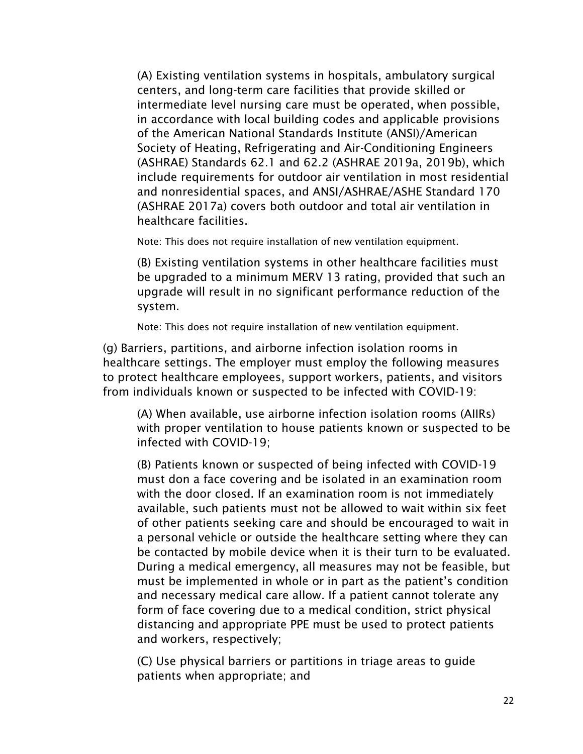(A) Existing ventilation systems in hospitals, ambulatory surgical centers, and long-term care facilities that provide skilled or intermediate level nursing care must be operated, when possible, in accordance with local building codes and applicable provisions of the American National Standards Institute (ANSI)/American Society of Heating, Refrigerating and Air-Conditioning Engineers (ASHRAE) Standards 62.1 and 62.2 (ASHRAE 2019a, 2019b), which include requirements for outdoor air ventilation in most residential and nonresidential spaces, and ANSI/ASHRAE/ASHE Standard 170 (ASHRAE 2017a) covers both outdoor and total air ventilation in healthcare facilities.

Note: This does not require installation of new ventilation equipment.

(B) Existing ventilation systems in other healthcare facilities must be upgraded to a minimum MERV 13 rating, provided that such an upgrade will result in no significant performance reduction of the system.

Note: This does not require installation of new ventilation equipment.

(g) Barriers, partitions, and airborne infection isolation rooms in healthcare settings. The employer must employ the following measures to protect healthcare employees, support workers, patients, and visitors from individuals known or suspected to be infected with COVID-19:

(A) When available, use airborne infection isolation rooms (AIIRs) with proper ventilation to house patients known or suspected to be infected with COVID-19;

(B) Patients known or suspected of being infected with COVID-19 must don a face covering and be isolated in an examination room with the door closed. If an examination room is not immediately available, such patients must not be allowed to wait within six feet of other patients seeking care and should be encouraged to wait in a personal vehicle or outside the healthcare setting where they can be contacted by mobile device when it is their turn to be evaluated. During a medical emergency, all measures may not be feasible, but must be implemented in whole or in part as the patient's condition and necessary medical care allow. If a patient cannot tolerate any form of face covering due to a medical condition, strict physical distancing and appropriate PPE must be used to protect patients and workers, respectively;

(C) Use physical barriers or partitions in triage areas to guide patients when appropriate; and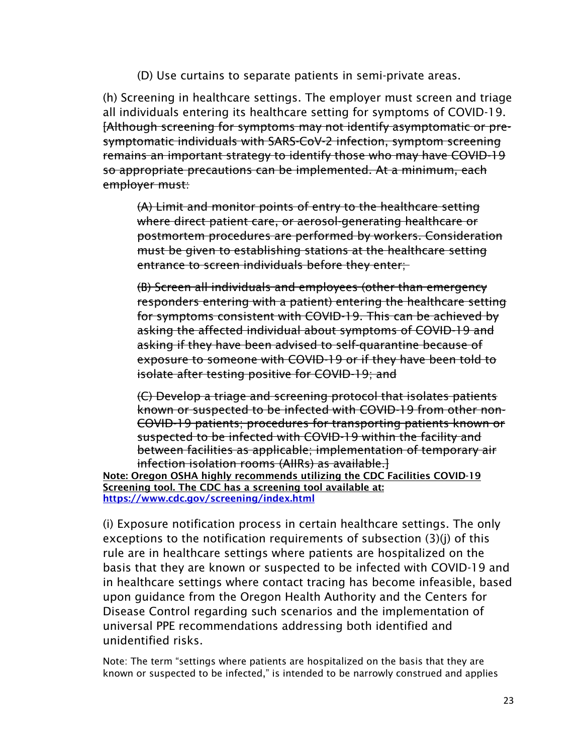(D) Use curtains to separate patients in semi-private areas.

(h) Screening in healthcare settings. The employer must screen and triage all individuals entering its healthcare setting for symptoms of COVID-19. [Although screening for symptoms may not identify asymptomatic or presymptomatic individuals with SARS-CoV-2 infection, symptom screening remains an important strategy to identify those who may have COVID-19 so appropriate precautions can be implemented. At a minimum, each employer must:

(A) Limit and monitor points of entry to the healthcare setting where direct patient care, or aerosol-generating healthcare or postmortem procedures are performed by workers. Consideration must be given to establishing stations at the healthcare setting entrance to screen individuals before they enter;

(B) Screen all individuals and employees (other than emergency responders entering with a patient) entering the healthcare setting for symptoms consistent with COVID-19. This can be achieved by asking the affected individual about symptoms of COVID-19 and asking if they have been advised to self-quarantine because of exposure to someone with COVID-19 or if they have been told to isolate after testing positive for COVID-19; and

(C) Develop a triage and screening protocol that isolates patients known or suspected to be infected with COVID-19 from other non-COVID-19 patients; procedures for transporting patients known or suspected to be infected with COVID-19 within the facility and between facilities as applicable; implementation of temporary air infection isolation rooms (AIIRs) as available.]

Note: Oregon OSHA highly recommends utilizing the CDC Facilities COVID-19 Screening tool. The CDC has a screening tool available at: <https://www.cdc.gov/screening/index.html>

(i) Exposure notification process in certain healthcare settings. The only exceptions to the notification requirements of subsection (3)(j) of this rule are in healthcare settings where patients are hospitalized on the basis that they are known or suspected to be infected with COVID-19 and in healthcare settings where contact tracing has become infeasible, based upon guidance from the Oregon Health Authority and the Centers for Disease Control regarding such scenarios and the implementation of universal PPE recommendations addressing both identified and unidentified risks.

Note: The term "settings where patients are hospitalized on the basis that they are known or suspected to be infected," is intended to be narrowly construed and applies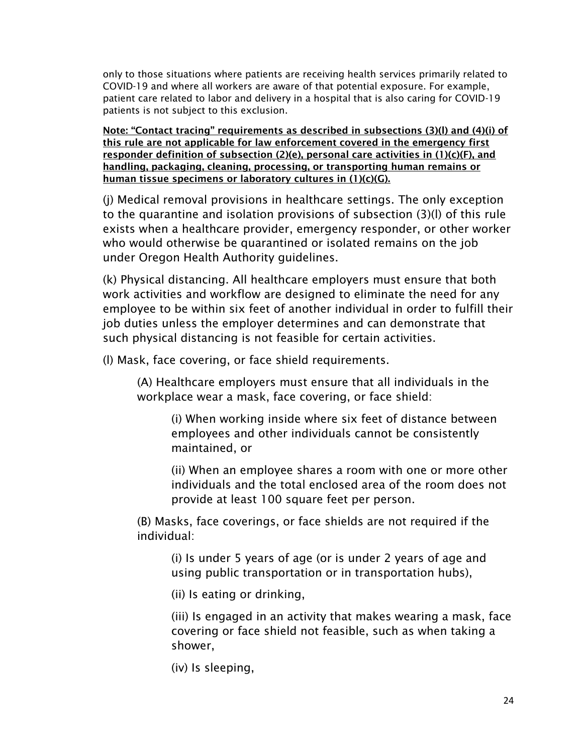only to those situations where patients are receiving health services primarily related to COVID-19 and where all workers are aware of that potential exposure. For example, patient care related to labor and delivery in a hospital that is also caring for COVID-19 patients is not subject to this exclusion.

Note: "Contact tracing" requirements as described in subsections (3)(l) and (4)(i) of this rule are not applicable for law enforcement covered in the emergency first responder definition of subsection (2)(e), personal care activities in (1)(c)(F), and handling, packaging, cleaning, processing, or transporting human remains or human tissue specimens or laboratory cultures in (1)(c)(G).

(j) Medical removal provisions in healthcare settings. The only exception to the quarantine and isolation provisions of subsection (3)(l) of this rule exists when a healthcare provider, emergency responder, or other worker who would otherwise be quarantined or isolated remains on the job under Oregon Health Authority guidelines.

(k) Physical distancing. All healthcare employers must ensure that both work activities and workflow are designed to eliminate the need for any employee to be within six feet of another individual in order to fulfill their job duties unless the employer determines and can demonstrate that such physical distancing is not feasible for certain activities.

(l) Mask, face covering, or face shield requirements.

(A) Healthcare employers must ensure that all individuals in the workplace wear a mask, face covering, or face shield:

(i) When working inside where six feet of distance between employees and other individuals cannot be consistently maintained, or

(ii) When an employee shares a room with one or more other individuals and the total enclosed area of the room does not provide at least 100 square feet per person.

(B) Masks, face coverings, or face shields are not required if the individual:

(i) Is under 5 years of age (or is under 2 years of age and using public transportation or in transportation hubs),

(ii) Is eating or drinking,

(iii) Is engaged in an activity that makes wearing a mask, face covering or face shield not feasible, such as when taking a shower,

(iv) Is sleeping,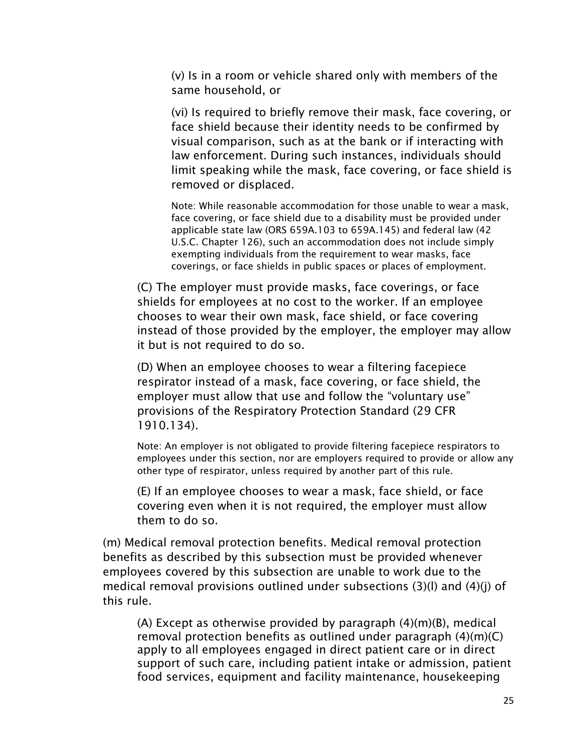(v) Is in a room or vehicle shared only with members of the same household, or

(vi) Is required to briefly remove their mask, face covering, or face shield because their identity needs to be confirmed by visual comparison, such as at the bank or if interacting with law enforcement. During such instances, individuals should limit speaking while the mask, face covering, or face shield is removed or displaced.

Note: While reasonable accommodation for those unable to wear a mask, face covering, or face shield due to a disability must be provided under applicable state law (ORS 659A.103 to 659A.145) and federal law (42 U.S.C. Chapter 126), such an accommodation does not include simply exempting individuals from the requirement to wear masks, face coverings, or face shields in public spaces or places of employment.

(C) The employer must provide masks, face coverings, or face shields for employees at no cost to the worker. If an employee chooses to wear their own mask, face shield, or face covering instead of those provided by the employer, the employer may allow it but is not required to do so.

(D) When an employee chooses to wear a filtering facepiece respirator instead of a mask, face covering, or face shield, the employer must allow that use and follow the "voluntary use" provisions of the Respiratory Protection Standard (29 CFR 1910.134).

Note: An employer is not obligated to provide filtering facepiece respirators to employees under this section, nor are employers required to provide or allow any other type of respirator, unless required by another part of this rule.

(E) If an employee chooses to wear a mask, face shield, or face covering even when it is not required, the employer must allow them to do so.

(m) Medical removal protection benefits. Medical removal protection benefits as described by this subsection must be provided whenever employees covered by this subsection are unable to work due to the medical removal provisions outlined under subsections (3)(l) and (4)(j) of this rule.

(A) Except as otherwise provided by paragraph (4)(m)(B), medical removal protection benefits as outlined under paragraph (4)(m)(C) apply to all employees engaged in direct patient care or in direct support of such care, including patient intake or admission, patient food services, equipment and facility maintenance, housekeeping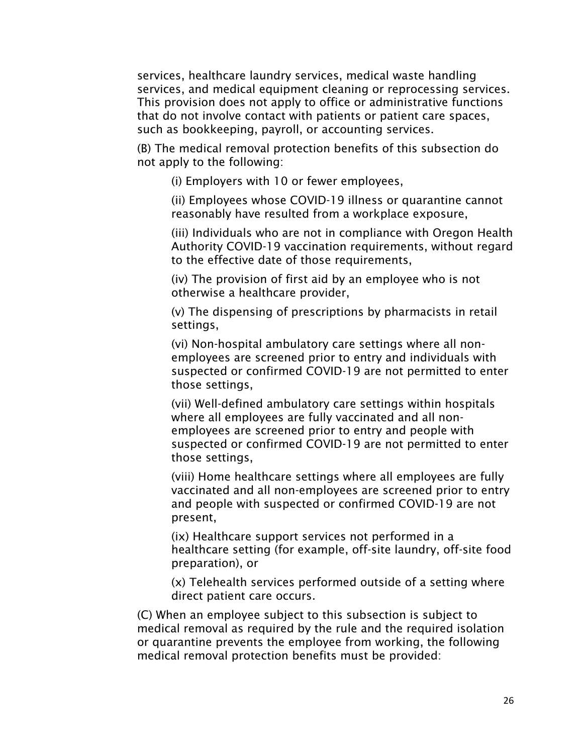services, healthcare laundry services, medical waste handling services, and medical equipment cleaning or reprocessing services. This provision does not apply to office or administrative functions that do not involve contact with patients or patient care spaces, such as bookkeeping, payroll, or accounting services.

(B) The medical removal protection benefits of this subsection do not apply to the following:

(i) Employers with 10 or fewer employees,

(ii) Employees whose COVID-19 illness or quarantine cannot reasonably have resulted from a workplace exposure,

(iii) Individuals who are not in compliance with Oregon Health Authority COVID-19 vaccination requirements, without regard to the effective date of those requirements,

(iv) The provision of first aid by an employee who is not otherwise a healthcare provider,

(v) The dispensing of prescriptions by pharmacists in retail settings,

(vi) Non-hospital ambulatory care settings where all nonemployees are screened prior to entry and individuals with suspected or confirmed COVID-19 are not permitted to enter those settings,

(vii) Well-defined ambulatory care settings within hospitals where all employees are fully vaccinated and all nonemployees are screened prior to entry and people with suspected or confirmed COVID-19 are not permitted to enter those settings,

(viii) Home healthcare settings where all employees are fully vaccinated and all non-employees are screened prior to entry and people with suspected or confirmed COVID-19 are not present,

(ix) Healthcare support services not performed in a healthcare setting (for example, off-site laundry, off-site food preparation), or

(x) Telehealth services performed outside of a setting where direct patient care occurs.

(C) When an employee subject to this subsection is subject to medical removal as required by the rule and the required isolation or quarantine prevents the employee from working, the following medical removal protection benefits must be provided: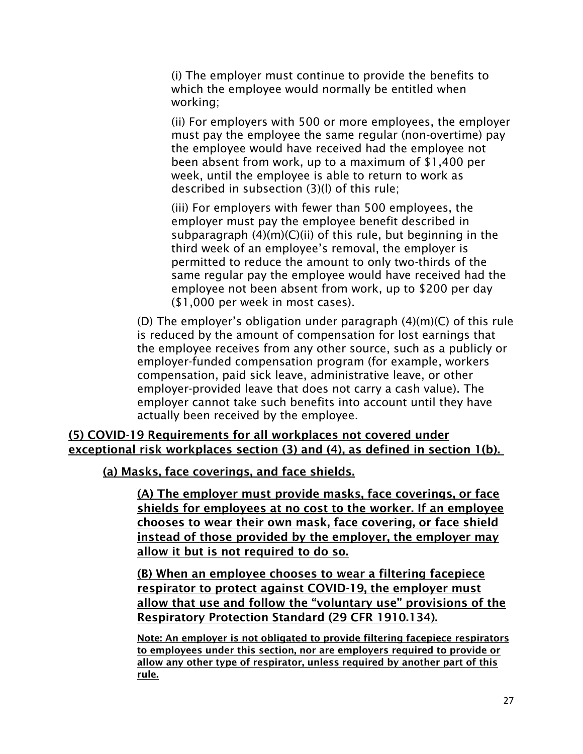(i) The employer must continue to provide the benefits to which the employee would normally be entitled when working;

(ii) For employers with 500 or more employees, the employer must pay the employee the same regular (non-overtime) pay the employee would have received had the employee not been absent from work, up to a maximum of \$1,400 per week, until the employee is able to return to work as described in subsection (3)(l) of this rule;

(iii) For employers with fewer than 500 employees, the employer must pay the employee benefit described in subparagraph (4)(m)(C)(ii) of this rule, but beginning in the third week of an employee's removal, the employer is permitted to reduce the amount to only two-thirds of the same regular pay the employee would have received had the employee not been absent from work, up to \$200 per day (\$1,000 per week in most cases).

(D) The employer's obligation under paragraph (4)(m)(C) of this rule is reduced by the amount of compensation for lost earnings that the employee receives from any other source, such as a publicly or employer-funded compensation program (for example, workers compensation, paid sick leave, administrative leave, or other employer-provided leave that does not carry a cash value). The employer cannot take such benefits into account until they have actually been received by the employee.

#### (5) COVID-19 Requirements for all workplaces not covered under exceptional risk workplaces section (3) and (4), as defined in section 1(b).

(a) Masks, face coverings, and face shields.

(A) The employer must provide masks, face coverings, or face shields for employees at no cost to the worker. If an employee chooses to wear their own mask, face covering, or face shield instead of those provided by the employer, the employer may allow it but is not required to do so.

(B) When an employee chooses to wear a filtering facepiece respirator to protect against COVID-19, the employer must allow that use and follow the "voluntary use" provisions of the Respiratory Protection Standard (29 CFR 1910.134).

Note: An employer is not obligated to provide filtering facepiece respirators to employees under this section, nor are employers required to provide or allow any other type of respirator, unless required by another part of this rule.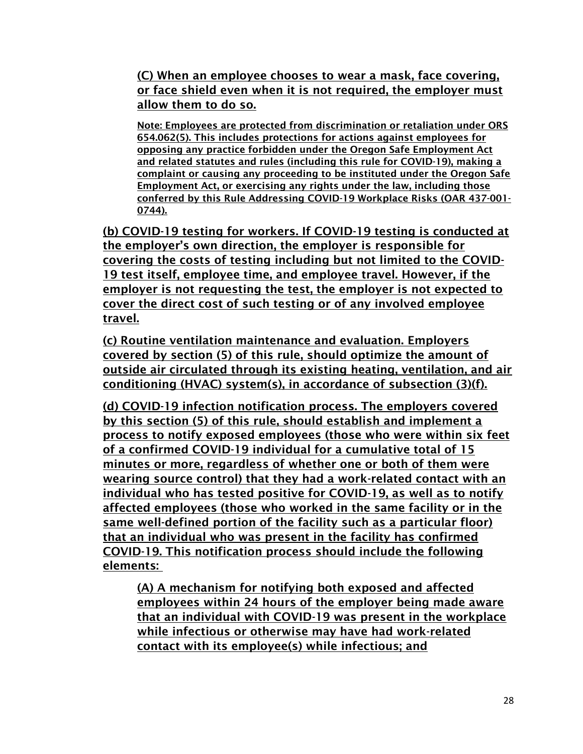(C) When an employee chooses to wear a mask, face covering, or face shield even when it is not required, the employer must allow them to do so.

Note: Employees are protected from discrimination or retaliation under ORS 654.062(5). This includes protections for actions against employees for opposing any practice forbidden under the Oregon Safe Employment Act and related statutes and rules (including this rule for COVID-19), making a complaint or causing any proceeding to be instituted under the Oregon Safe Employment Act, or exercising any rights under the law, including those conferred by this Rule Addressing COVID-19 Workplace Risks (OAR 437-001- 0744).

(b) COVID-19 testing for workers. If COVID-19 testing is conducted at the employer's own direction, the employer is responsible for covering the costs of testing including but not limited to the COVID-19 test itself, employee time, and employee travel. However, if the employer is not requesting the test, the employer is not expected to cover the direct cost of such testing or of any involved employee travel.

(c) Routine ventilation maintenance and evaluation. Employers covered by section (5) of this rule, should optimize the amount of outside air circulated through its existing heating, ventilation, and air conditioning (HVAC) system(s), in accordance of subsection (3)(f).

(d) COVID-19 infection notification process. The employers covered by this section (5) of this rule, should establish and implement a process to notify exposed employees (those who were within six feet of a confirmed COVID-19 individual for a cumulative total of 15 minutes or more, regardless of whether one or both of them were wearing source control) that they had a work-related contact with an individual who has tested positive for COVID-19, as well as to notify affected employees (those who worked in the same facility or in the same well-defined portion of the facility such as a particular floor) that an individual who was present in the facility has confirmed COVID-19. This notification process should include the following elements:

(A) A mechanism for notifying both exposed and affected employees within 24 hours of the employer being made aware that an individual with COVID-19 was present in the workplace while infectious or otherwise may have had work-related contact with its employee(s) while infectious; and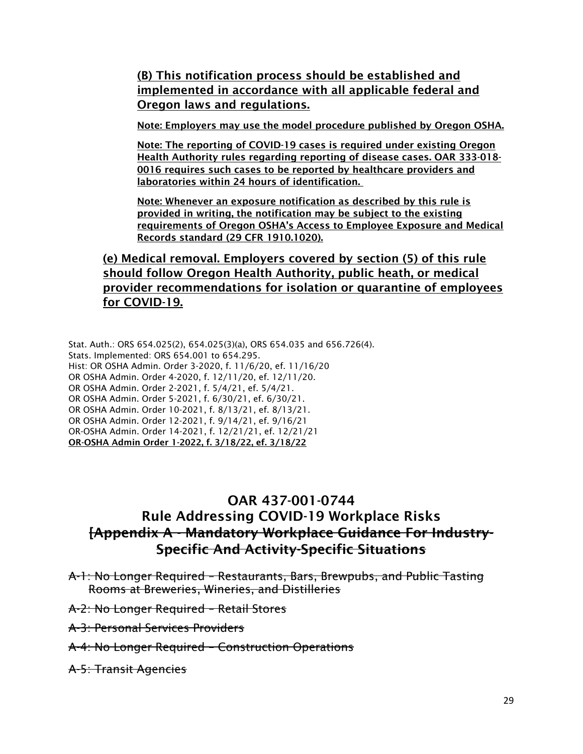#### (B) This notification process should be established and implemented in accordance with all applicable federal and Oregon laws and regulations.

Note: Employers may use the model procedure published by Oregon OSHA.

Note: The reporting of COVID-19 cases is required under existing Oregon Health Authority rules regarding reporting of disease cases. OAR 333-018- 0016 requires such cases to be reported by healthcare providers and laboratories within 24 hours of identification.

Note: Whenever an exposure notification as described by this rule is provided in writing, the notification may be subject to the existing requirements of Oregon OSHA's Access to Employee Exposure and Medical Records standard (29 CFR 1910.1020).

(e) Medical removal. Employers covered by section (5) of this rule should follow Oregon Health Authority, public heath, or medical provider recommendations for isolation or quarantine of employees for COVID-19.

Stat. Auth.: ORS 654.025(2), 654.025(3)(a), ORS 654.035 and 656.726(4). Stats. Implemented: ORS 654.001 to 654.295. Hist: OR OSHA Admin. Order 3-2020, f. 11/6/20, ef. 11/16/20 OR OSHA Admin. Order 4-2020, f. 12/11/20, ef. 12/11/20. OR OSHA Admin. Order 2-2021, f. 5/4/21, ef. 5/4/21. OR OSHA Admin. Order 5-2021, f. 6/30/21, ef. 6/30/21. OR OSHA Admin. Order 10-2021, f. 8/13/21, ef. 8/13/21. OR OSHA Admin. Order 12-2021, f. 9/14/21, ef. 9/16/21 OR-OSHA Admin. Order 14-2021, f. 12/21/21, ef. 12/21/21 OR-OSHA Admin Order 1-2022, f. 3/18/22, ef. 3/18/22

#### OAR 437-001-0744

## Rule Addressing COVID-19 Workplace Risks [Appendix A - Mandatory Workplace Guidance For Industry-Specific And Activity-Specific Situations

- A-1: No Longer Required Restaurants, Bars, Brewpubs, and Public Tasting Rooms at Breweries, Wineries, and Distilleries
- A-2: No Longer Required Retail Stores
- A-3: Personal Services Providers
- A-4: No Longer Required Construction Operations
- A-5: Transit Agencies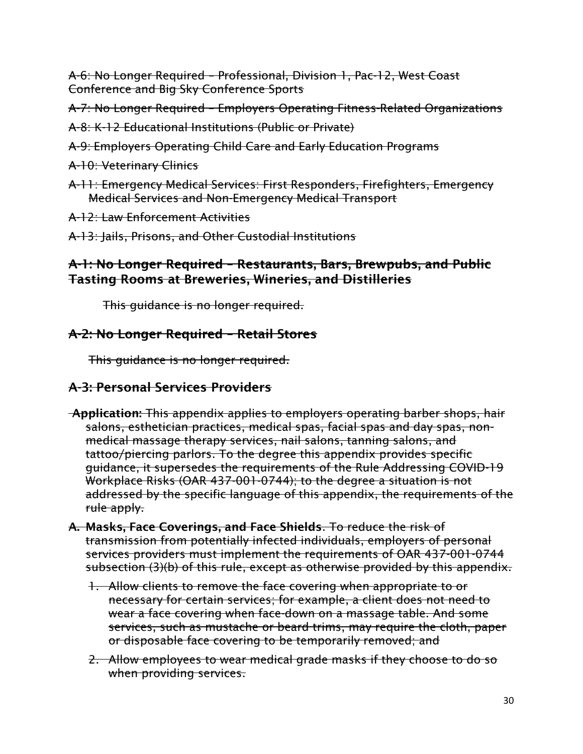A-6: No Longer Required – Professional, Division 1, Pac-12, West Coast Conference and Big Sky Conference Sports

A-7: No Longer Required – Employers Operating Fitness-Related Organizations

- A-8: K-12 Educational Institutions (Public or Private)
- A-9: Employers Operating Child Care and Early Education Programs
- A-10: Veterinary Clinics
- A-11: Emergency Medical Services: First Responders, Firefighters, Emergency Medical Services and Non-Emergency Medical Transport
- A-12: Law Enforcement Activities
- A-13: Jails, Prisons, and Other Custodial Institutions

## A-1: No Longer Required – Restaurants, Bars, Brewpubs, and Public Tasting Rooms at Breweries, Wineries, and Distilleries

This guidance is no longer required.

## A-2: No Longer Required – Retail Stores

This guidance is no longer required.

## A-3: Personal Services Providers

- Application: This appendix applies to employers operating barber shops, hair salons, esthetician practices, medical spas, facial spas and day spas, nonmedical massage therapy services, nail salons, tanning salons, and tattoo/piercing parlors. To the degree this appendix provides specific guidance, it supersedes the requirements of the Rule Addressing COVID-19 Workplace Risks (OAR 437-001-0744); to the degree a situation is not addressed by the specific language of this appendix, the requirements of the rule apply.
- A. Masks, Face Coverings, and Face Shields. To reduce the risk of transmission from potentially infected individuals, employers of personal services providers must implement the requirements of OAR 437-001-0744 subsection (3)(b) of this rule, except as otherwise provided by this appendix.
	- 1. Allow clients to remove the face covering when appropriate to or necessary for certain services; for example, a client does not need to wear a face covering when face-down on a massage table. And some services, such as mustache or beard trims, may require the cloth, paper or disposable face covering to be temporarily removed; and
	- 2. Allow employees to wear medical grade masks if they choose to do so when providing services.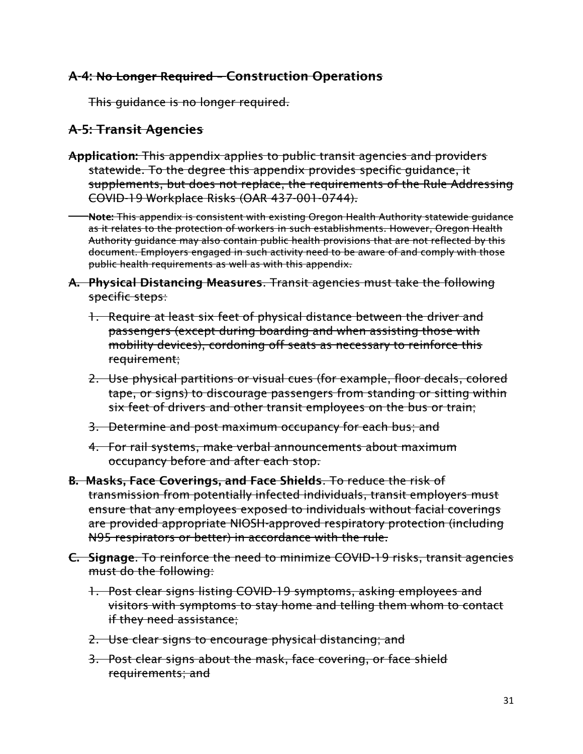#### A-4: No Longer Required – Construction Operations

This guidance is no longer required.

## A-5: Transit Agencies

- Application: This appendix applies to public transit agencies and providers statewide. To the degree this appendix provides specific guidance, it supplements, but does not replace, the requirements of the Rule Addressing COVID-19 Workplace Risks (OAR 437-001-0744).
	- Note: This appendix is consistent with existing Oregon Health Authority statewide guidance as it relates to the protection of workers in such establishments. However, Oregon Health Authority guidance may also contain public health provisions that are not reflected by this document. Employers engaged in such activity need to be aware of and comply with those public health requirements as well as with this appendix.
- A. Physical Distancing Measures. Transit agencies must take the following specific steps:
	- 1. Require at least six feet of physical distance between the driver and passengers (except during boarding and when assisting those with mobility devices), cordoning off seats as necessary to reinforce this requirement;
	- 2. Use physical partitions or visual cues (for example, floor decals, colored tape, or signs) to discourage passengers from standing or sitting within six feet of drivers and other transit employees on the bus or train;
	- 3. Determine and post maximum occupancy for each bus; and
	- 4. For rail systems, make verbal announcements about maximum occupancy before and after each stop.
- B. Masks, Face Coverings, and Face Shields. To reduce the risk of transmission from potentially infected individuals, transit employers must ensure that any employees exposed to individuals without facial coverings are provided appropriate NIOSH-approved respiratory protection (including N95 respirators or better) in accordance with the rule.
- C. Signage. To reinforce the need to minimize COVID-19 risks, transit agencies must do the following:
	- 1. Post clear signs listing COVID-19 symptoms, asking employees and visitors with symptoms to stay home and telling them whom to contact if they need assistance;
	- 2. Use clear signs to encourage physical distancing; and
	- 3. Post clear signs about the mask, face covering, or face shield requirements; and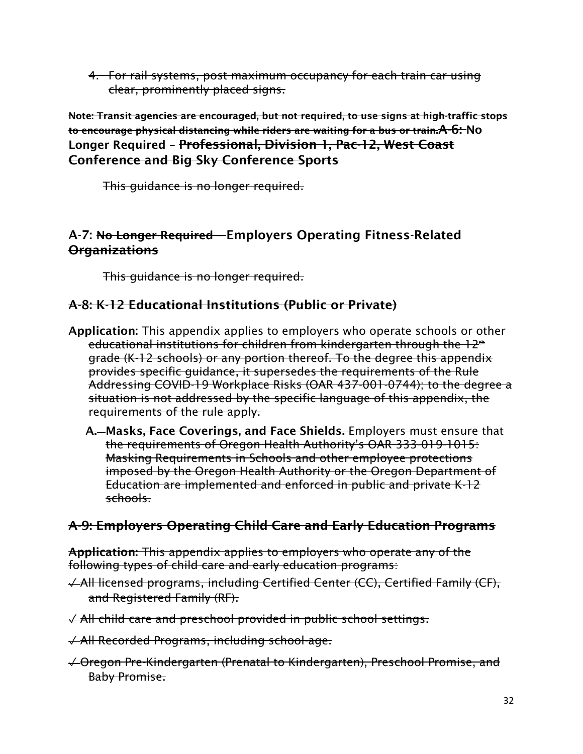4. For rail systems, post maximum occupancy for each train car using clear, prominently placed signs.

Note: Transit agencies are encouraged, but not required, to use signs at high-traffic stops to encourage physical distancing while riders are waiting for a bus or train.A-6: No Longer Required – Professional, Division 1, Pac-12, West Coast Conference and Big Sky Conference Sports

This guidance is no longer required.

## A-7: No Longer Required – Employers Operating Fitness-Related Organizations

This guidance is no longer required.

## A-8: K-12 Educational Institutions (Public or Private)

- Application: This appendix applies to employers who operate schools or other educational institutions for children from kindergarten through the 12<sup>th</sup> grade (K-12 schools) or any portion thereof. To the degree this appendix provides specific guidance, it supersedes the requirements of the Rule Addressing COVID-19 Workplace Risks (OAR 437-001-0744); to the degree a situation is not addressed by the specific language of this appendix, the requirements of the rule apply.
	- A. Masks, Face Coverings, and Face Shields. Employers must ensure that the requirements of Oregon Health Authority's OAR 333-019-1015: Masking Requirements in Schools and other employee protections imposed by the Oregon Health Authority or the Oregon Department of Education are implemented and enforced in public and private K-12 schools.

## A-9: Employers Operating Child Care and Early Education Programs

Application: This appendix applies to employers who operate any of the following types of child care and early education programs:

- ✓ All licensed programs, including Certified Center (CC), Certified Family (CF), and Registered Family (RF).
- ✓ All child care and preschool provided in public school settings.
- ✓ All Recorded Programs, including school-age.
- ✓ Oregon Pre-Kindergarten (Prenatal to Kindergarten), Preschool Promise, and Baby Promise.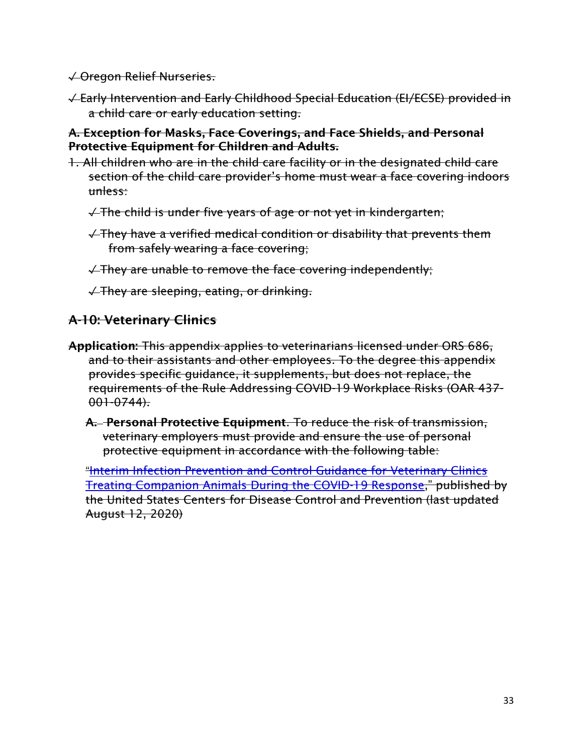✓ Oregon Relief Nurseries.

✓ Early Intervention and Early Childhood Special Education (EI/ECSE) provided in a child care or early education setting.

#### A. Exception for Masks, Face Coverings, and Face Shields, and Personal Protective Equipment for Children and Adults.

1. All children who are in the child care facility or in the designated child care section of the child care provider's home must wear a face covering indoors unless:

 $\sqrt{ }$  The child is under five years of age or not yet in kindergarten;

✓ They have a verified medical condition or disability that prevents them from safely wearing a face covering;

✓ They are unable to remove the face covering independently;

✓ They are sleeping, eating, or drinking.

#### A-10: Veterinary Clinics

- Application: This appendix applies to veterinarians licensed under ORS 686, and to their assistants and other employees. To the degree this appendix provides specific guidance, it supplements, but does not replace, the requirements of the Rule Addressing COVID-19 Workplace Risks (OAR 437- 001-0744).
	- A. Personal Protective Equipment. To reduce the risk of transmission, veterinary employers must provide and ensure the use of personal protective equipment in accordance with the following table:

"[Interim Infection Prevention and Control Guidance for Veterinary Clinics](https://www.cdc.gov/coronavirus/2019-ncov/community/veterinarians.html)  [Treating Companion Animals During the COVID-19 Response](https://www.cdc.gov/coronavirus/2019-ncov/community/veterinarians.html)," published by the United States Centers for Disease Control and Prevention (last updated August 12, 2020)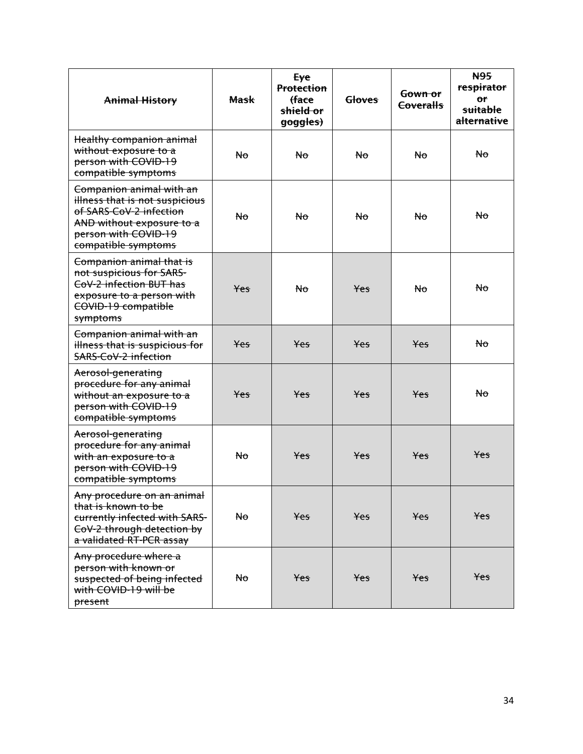| <b>Animal History</b>                                                                                                                                             | <b>Mask</b>    | Eye<br><b>Protection</b><br><del>(face</del><br>shield or<br>goggles) | <b>Gloves</b> | <del>Gown or</del><br><b>Coveralls</b> | <b>N95</b><br>respirator<br>Οř<br>suitable<br>alternative |
|-------------------------------------------------------------------------------------------------------------------------------------------------------------------|----------------|-----------------------------------------------------------------------|---------------|----------------------------------------|-----------------------------------------------------------|
| Healthy companion animal<br>without exposure to a<br>person with COVID-19<br>compatible symptoms                                                                  | No             | <b>No</b>                                                             | No            | No                                     | N <sub>o</sub>                                            |
| Companion animal with an<br>illness that is not suspicious<br>of SARS-CoV-2 infection<br>AND without exposure to a<br>person with COVID-19<br>compatible symptoms | No             | <b>No</b>                                                             | No            | No                                     | N <sub>o</sub>                                            |
| Companion animal that is<br>not suspicious for SARS-<br>CoV-2 infection BUT has<br>exposure to a person with<br>COVID-19 compatible<br>symptoms                   | <b>Yes</b>     | No                                                                    | Yes           | N <sub>o</sub>                         | Nо                                                        |
| Companion animal with an<br>illness that is suspicious for<br><b>SARS-CoV-2 infection</b>                                                                         | Yes            | Yes                                                                   | Yes           | <b>Yes</b>                             | No                                                        |
| Aerosol-generating<br>procedure for any animal<br>without an exposure to a<br>person with COVID-19<br>compatible symptoms                                         | Yes            | Yes                                                                   | Yes           | <b>Yes</b>                             | No.                                                       |
| Aerosol-generating<br>procedure for any animal<br>with an exposure to a<br>person with COVID-19<br>compatible symptoms                                            | No             | Yes                                                                   | Yes           | Yes                                    | Yes                                                       |
| Any procedure on an animal<br>that is known to be<br>currently infected with SARS-<br>CoV-2 through detection by<br>a validated RT-PCR assay                      | No             | Yes                                                                   | Yes           | Yes                                    | Yes                                                       |
| Any procedure where a<br>person with known or<br>suspected of being infected<br>with COVID-19 will be<br>present                                                  | N <sub>o</sub> | Yes                                                                   | Yes           | Yes                                    | Yes                                                       |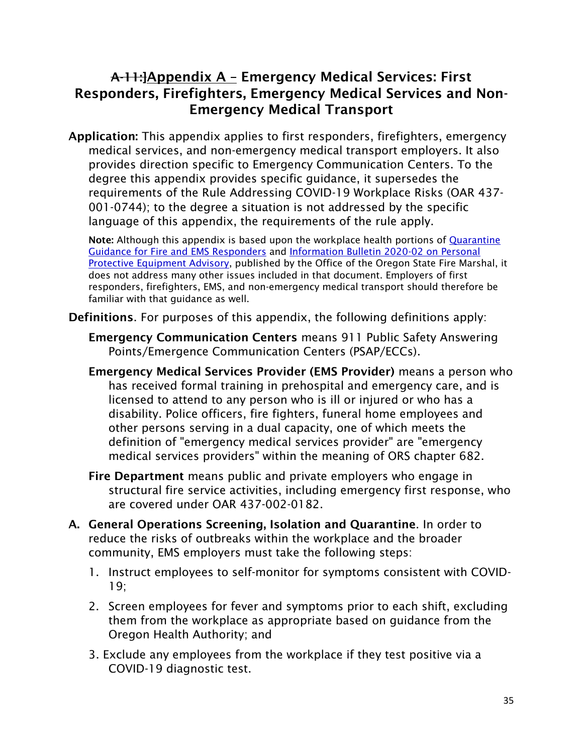## A-11:]Appendix A – Emergency Medical Services: First Responders, Firefighters, Emergency Medical Services and Non-Emergency Medical Transport

Application: This appendix applies to first responders, firefighters, emergency medical services, and non-emergency medical transport employers. It also provides direction specific to Emergency Communication Centers. To the degree this appendix provides specific guidance, it supersedes the requirements of the Rule Addressing COVID-19 Workplace Risks (OAR 437- 001-0744); to the degree a situation is not addressed by the specific language of this appendix, the requirements of the rule apply.

Note: Although this appendix is based upon the workplace health portions of Quarantine [Guidance for Fire and EMS Responders](https://www.oregon.gov/osp/Docs/QuarantineGuidanceforFireandEMSRespondersMarch2020.pdf) and [Information Bulletin 2020-02 on Personal](https://www.oregon.gov/osp/Docs/2020-02InformationBulletinPPEAdvisory.pdf)  [Protective Equipment Advisory,](https://www.oregon.gov/osp/Docs/2020-02InformationBulletinPPEAdvisory.pdf) published by the Office of the Oregon State Fire Marshal, it does not address many other issues included in that document. Employers of first responders, firefighters, EMS, and non-emergency medical transport should therefore be familiar with that guidance as well.

Definitions. For purposes of this appendix, the following definitions apply:

- Emergency Communication Centers means 911 Public Safety Answering Points/Emergence Communication Centers (PSAP/ECCs).
- Emergency Medical Services Provider (EMS Provider) means a person who has received formal training in prehospital and emergency care, and is licensed to attend to any person who is ill or injured or who has a disability. Police officers, fire fighters, funeral home employees and other persons serving in a dual capacity, one of which meets the definition of "emergency medical services provider" are "emergency medical services providers" within the meaning of ORS chapter 682.
- Fire Department means public and private employers who engage in structural fire service activities, including emergency first response, who are covered under OAR 437-002-0182.
- A. General Operations Screening, Isolation and Quarantine. In order to reduce the risks of outbreaks within the workplace and the broader community, EMS employers must take the following steps:
	- 1. Instruct employees to self-monitor for symptoms consistent with COVID-19;
	- 2. Screen employees for fever and symptoms prior to each shift, excluding them from the workplace as appropriate based on guidance from the Oregon Health Authority; and
	- 3. Exclude any employees from the workplace if they test positive via a COVID-19 diagnostic test.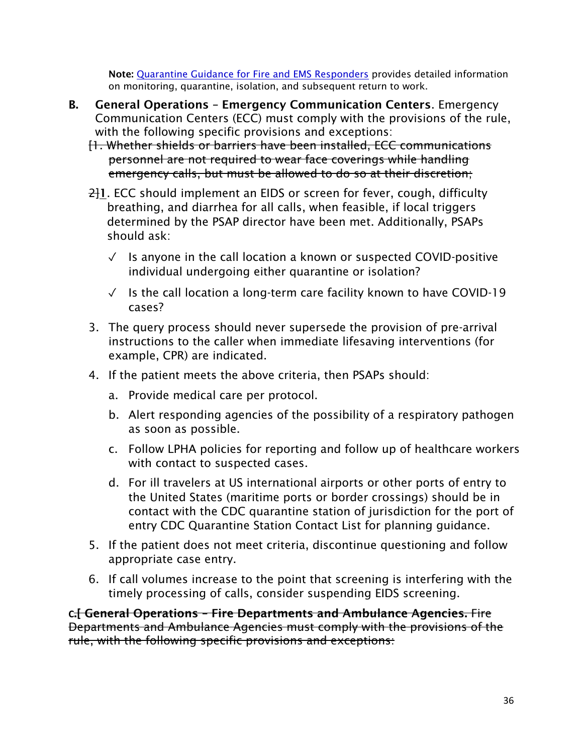Note: [Quarantine Guidance for Fire and EMS Responders](https://www.oregon.gov/osp/Docs/QuarantineGuidanceforFireandEMSRespondersMarch2020.pdf) provides detailed information on monitoring, quarantine, isolation, and subsequent return to work.

- B. General Operations Emergency Communication Centers. Emergency Communication Centers (ECC) must comply with the provisions of the rule, with the following specific provisions and exceptions:
	- [1. Whether shields or barriers have been installed, ECC communications personnel are not required to wear face coverings while handling emergency calls, but must be allowed to do so at their discretion;
	- $\frac{2}{1}$ 1. ECC should implement an EIDS or screen for fever, cough, difficulty breathing, and diarrhea for all calls, when feasible, if local triggers determined by the PSAP director have been met. Additionally, PSAPs should ask:
		- $\sqrt{ }$  Is anyone in the call location a known or suspected COVID-positive individual undergoing either quarantine or isolation?
		- ✓ Is the call location a long-term care facility known to have COVID-19 cases?
	- 3. The query process should never supersede the provision of pre-arrival instructions to the caller when immediate lifesaving interventions (for example, CPR) are indicated.
	- 4. If the patient meets the above criteria, then PSAPs should:
		- a. Provide medical care per protocol.
		- b. Alert responding agencies of the possibility of a respiratory pathogen as soon as possible.
		- c. Follow LPHA policies for reporting and follow up of healthcare workers with contact to suspected cases.
		- d. For ill travelers at US international airports or other ports of entry to the United States (maritime ports or border crossings) should be in contact with the CDC quarantine station of jurisdiction for the port of entry CDC Quarantine Station Contact List for planning guidance.
	- 5. If the patient does not meet criteria, discontinue questioning and follow appropriate case entry.
	- 6. If call volumes increase to the point that screening is interfering with the timely processing of calls, consider suspending EIDS screening.

**C**.[ General Operations – Fire Departments and Ambulance Agencies. Fire Departments and Ambulance Agencies must comply with the provisions of the rule, with the following specific provisions and exceptions: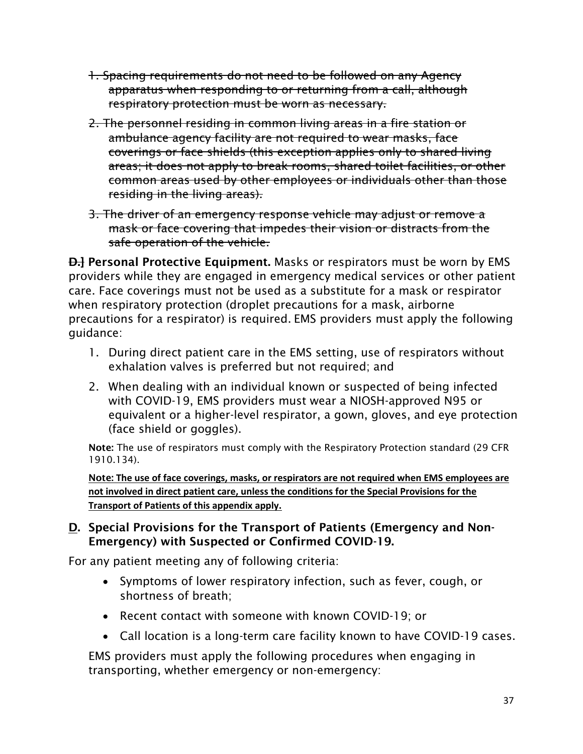- 1. Spacing requirements do not need to be followed on any Agency apparatus when responding to or returning from a call, although respiratory protection must be worn as necessary.
- 2. The personnel residing in common living areas in a fire station or ambulance agency facility are not required to wear masks, face coverings or face shields (this exception applies only to shared living areas; it does not apply to break rooms, shared toilet facilities, or other common areas used by other employees or individuals other than those residing in the living areas).
- 3. The driver of an emergency response vehicle may adjust or remove a mask or face covering that impedes their vision or distracts from the safe operation of the vehicle.

**D.** Personal Protective Equipment. Masks or respirators must be worn by EMS providers while they are engaged in emergency medical services or other patient care. Face coverings must not be used as a substitute for a mask or respirator when respiratory protection (droplet precautions for a mask, airborne precautions for a respirator) is required. EMS providers must apply the following guidance:

- 1. During direct patient care in the EMS setting, use of respirators without exhalation valves is preferred but not required; and
- 2. When dealing with an individual known or suspected of being infected with COVID-19, EMS providers must wear a NIOSH-approved N95 or equivalent or a higher-level respirator, a gown, gloves, and eye protection (face shield or goggles).

Note: The use of respirators must comply with the Respiratory Protection standard (29 CFR 1910.134).

Note: **The use of face coverings, masks, or respirators are not required when EMS employees are not involved in direct patient care, unless the conditions for the Special Provisions for the Transport of Patients of this appendix apply.**

#### D. Special Provisions for the Transport of Patients (Emergency and Non-Emergency) with Suspected or Confirmed COVID-19.

For any patient meeting any of following criteria:

- Symptoms of lower respiratory infection, such as fever, cough, or shortness of breath;
- Recent contact with someone with known COVID-19; or
- Call location is a long-term care facility known to have COVID-19 cases.

EMS providers must apply the following procedures when engaging in transporting, whether emergency or non-emergency: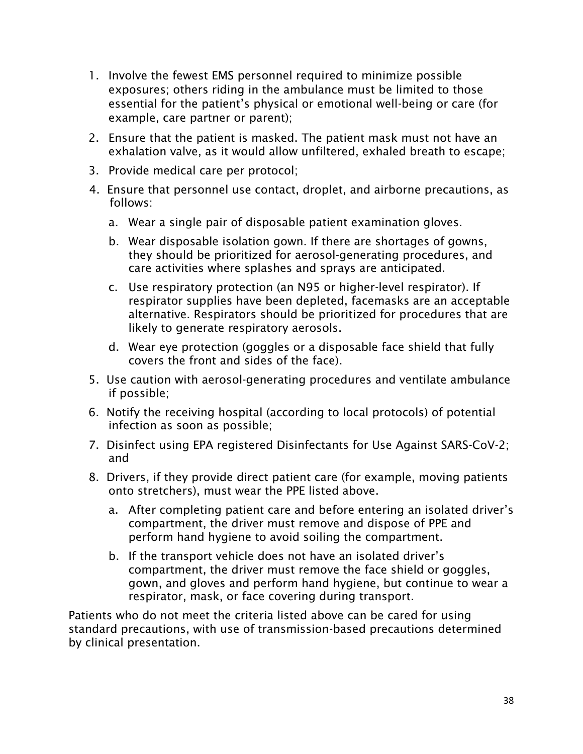- 1. Involve the fewest EMS personnel required to minimize possible exposures; others riding in the ambulance must be limited to those essential for the patient's physical or emotional well-being or care (for example, care partner or parent);
- 2. Ensure that the patient is masked. The patient mask must not have an exhalation valve, as it would allow unfiltered, exhaled breath to escape;
- 3. Provide medical care per protocol;
- 4. Ensure that personnel use contact, droplet, and airborne precautions, as follows:
	- a. Wear a single pair of disposable patient examination gloves.
	- b. Wear disposable isolation gown. If there are shortages of gowns, they should be prioritized for aerosol-generating procedures, and care activities where splashes and sprays are anticipated.
	- c. Use respiratory protection (an N95 or higher-level respirator). If respirator supplies have been depleted, facemasks are an acceptable alternative. Respirators should be prioritized for procedures that are likely to generate respiratory aerosols.
	- d. Wear eye protection (goggles or a disposable face shield that fully covers the front and sides of the face).
- 5. Use caution with aerosol-generating procedures and ventilate ambulance if possible;
- 6. Notify the receiving hospital (according to local protocols) of potential infection as soon as possible;
- 7. Disinfect using EPA registered Disinfectants for Use Against SARS-CoV-2; and
- 8. Drivers, if they provide direct patient care (for example, moving patients onto stretchers), must wear the PPE listed above.
	- a. After completing patient care and before entering an isolated driver's compartment, the driver must remove and dispose of PPE and perform hand hygiene to avoid soiling the compartment.
	- b. If the transport vehicle does not have an isolated driver's compartment, the driver must remove the face shield or goggles, gown, and gloves and perform hand hygiene, but continue to wear a respirator, mask, or face covering during transport.

Patients who do not meet the criteria listed above can be cared for using standard precautions, with use of transmission-based precautions determined by clinical presentation.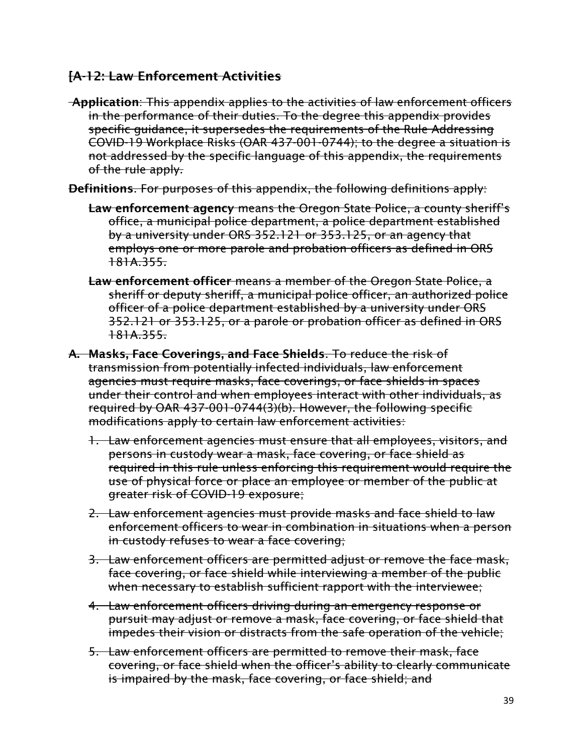#### [A-12: Law Enforcement Activities

Application: This appendix applies to the activities of law enforcement officers in the performance of their duties. To the degree this appendix provides specific guidance, it supersedes the requirements of the Rule Addressing COVID-19 Workplace Risks (OAR 437-001-0744); to the degree a situation is not addressed by the specific language of this appendix, the requirements of the rule apply.

Definitions. For purposes of this appendix, the following definitions apply:

- Law enforcement agency means the Oregon State Police, a county sheriff's office, a municipal police department, a police department established by a university under ORS 352.121 or 353.125, or an agency that employs one or more parole and probation officers as defined in ORS 181A.355.
- Law enforcement officer means a member of the Oregon State Police, a sheriff or deputy sheriff, a municipal police officer, an authorized police officer of a police department established by a university under ORS 352.121 or 353.125, or a parole or probation officer as defined in ORS 181A.355.
- A. Masks, Face Coverings, and Face Shields. To reduce the risk of transmission from potentially infected individuals, law enforcement agencies must require masks, face coverings, or face shields in spaces under their control and when employees interact with other individuals, as required by OAR 437-001-0744(3)(b). However, the following specific modifications apply to certain law enforcement activities:
	- 1. Law enforcement agencies must ensure that all employees, visitors, and persons in custody wear a mask, face covering, or face shield as required in this rule unless enforcing this requirement would require the use of physical force or place an employee or member of the public at greater risk of COVID-19 exposure;
	- 2. Law enforcement agencies must provide masks and face shield to law enforcement officers to wear in combination in situations when a person in custody refuses to wear a face covering;
	- 3. Law enforcement officers are permitted adjust or remove the face mask, face covering, or face shield while interviewing a member of the public when necessary to establish sufficient rapport with the interviewee;
	- 4. Law enforcement officers driving during an emergency response or pursuit may adjust or remove a mask, face covering, or face shield that impedes their vision or distracts from the safe operation of the vehicle;
	- 5. Law enforcement officers are permitted to remove their mask, face covering, or face shield when the officer's ability to clearly communicate is impaired by the mask, face covering, or face shield; and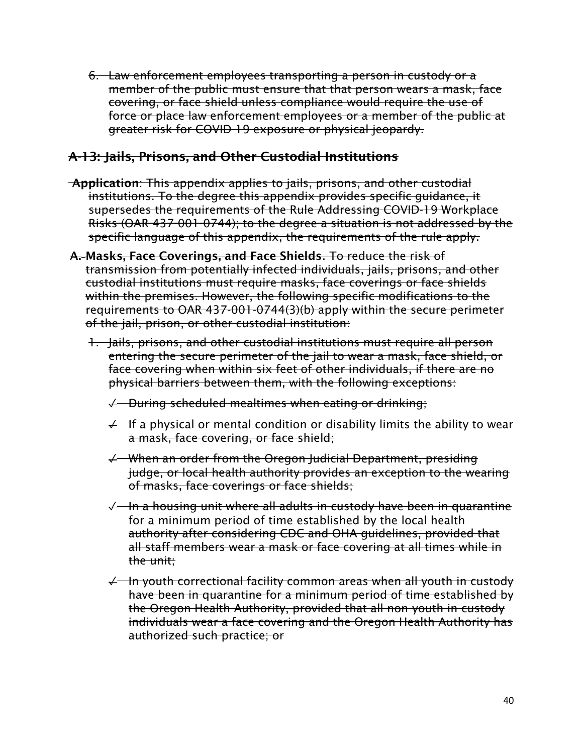6. Law enforcement employees transporting a person in custody or a member of the public must ensure that that person wears a mask, face covering, or face shield unless compliance would require the use of force or place law enforcement employees or a member of the public at greater risk for COVID-19 exposure or physical jeopardy.

## A-13: Jails, Prisons, and Other Custodial Institutions

- Application: This appendix applies to jails, prisons, and other custodial institutions. To the degree this appendix provides specific guidance, it supersedes the requirements of the Rule Addressing COVID-19 Workplace Risks (OAR 437-001-0744); to the degree a situation is not addressed by the specific language of this appendix, the requirements of the rule apply.
- A. Masks, Face Coverings, and Face Shields. To reduce the risk of transmission from potentially infected individuals, jails, prisons, and other custodial institutions must require masks, face coverings or face shields within the premises. However, the following specific modifications to the requirements to OAR 437-001-0744(3)(b) apply within the secure perimeter of the jail, prison, or other custodial institution:
	- 1. Jails, prisons, and other custodial institutions must require all person entering the secure perimeter of the jail to wear a mask, face shield, or face covering when within six feet of other individuals, if there are no physical barriers between them, with the following exceptions:
		- $\sqrt{ }$  During scheduled mealtimes when eating or drinking;
		- ✓ If a physical or mental condition or disability limits the ability to wear a mask, face covering, or face shield;
		- ✓ When an order from the Oregon Judicial Department, presiding judge, or local health authority provides an exception to the wearing of masks, face coverings or face shields;
		- $\sqrt{1}$  In a housing unit where all adults in custody have been in quarantine for a minimum period of time established by the local health authority after considering CDC and OHA guidelines, provided that all staff members wear a mask or face covering at all times while in the unit;
		- ✓ In youth correctional facility common areas when all youth in custody have been in quarantine for a minimum period of time established by the Oregon Health Authority, provided that all non-youth-in-custody individuals wear a face covering and the Oregon Health Authority has authorized such practice; or